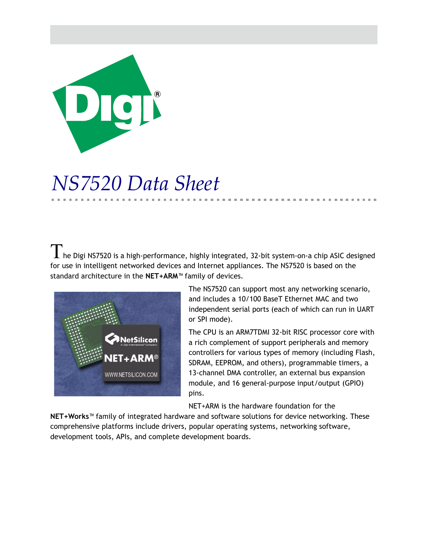

# *NS7520 Data Sheet*

 $\prod$  he Digi NS7520 is a high-performance, highly integrated, 32-bit system-on-a chip ASIC designed for use in intelligent networked devices and Internet appliances. The NS7520 is based on the standard architecture in the **NET+ARM**™ family of devices.



The NS7520 can support most any networking scenario, and includes a 10/100 BaseT Ethernet MAC and two independent serial ports (each of which can run in UART or SPI mode).

The CPU is an ARM7TDMI 32-bit RISC processor core with a rich complement of support peripherals and memory controllers for various types of memory (including Flash, SDRAM, EEPROM, and others), programmable timers, a 13-channel DMA controller, an external bus expansion module, and 16 general-purpose input/output (GPIO) pins.

NET+ARM is the hardware foundation for the

**NET+Works**™ family of integrated hardware and software solutions for device networking. These comprehensive platforms include drivers, popular operating systems, networking software, development tools, APIs, and complete development boards.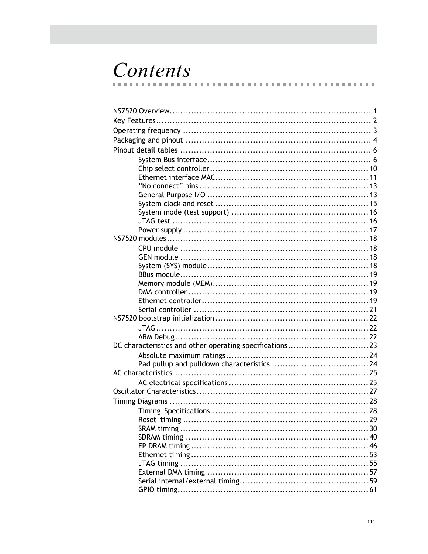# Contents

| DC characteristics and other operating specifications23 |     |
|---------------------------------------------------------|-----|
|                                                         |     |
|                                                         |     |
|                                                         |     |
|                                                         |     |
|                                                         |     |
|                                                         |     |
|                                                         |     |
|                                                         |     |
|                                                         |     |
|                                                         |     |
|                                                         |     |
|                                                         |     |
|                                                         |     |
|                                                         |     |
| GPIO timing                                             | .61 |
|                                                         |     |

m.  $\sim$  $\mathbf{m}$ 

m.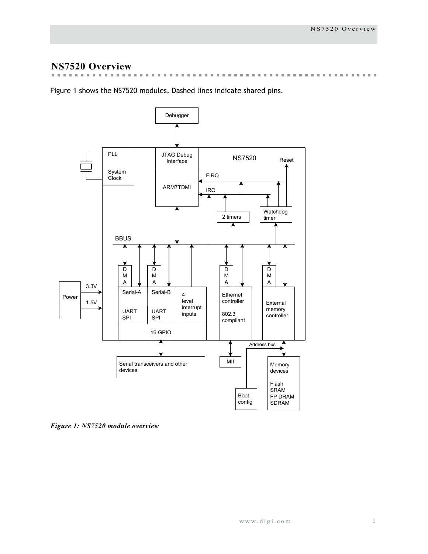# **NS7520 Overview**

 $\mathbb{R}^n$  $\mathbf{m}$  $\mathbf{m}$  $\sim$  $\mathbf{m}$  $\sim$  $\mathbf{m}$  $\sim$  $\mathbf{u}$  $\mathbf{m}$ **Building County**  $\sim$  $\mathbf{m}$  $\mathbf{m}$  $\mathbb{R}^d$  $\mathbf{m}$  $\mathbf{m}$  $\mathbf{m}$  $\mathbb{R}^d$  $\mathbf{m}$ . . . . . . . . . . . . . . . . . . . .

[Figure 1](#page-4-0) shows the NS7520 modules. Dashed lines indicate shared pins.



<span id="page-4-0"></span>*Figure 1: NS7520 module overview*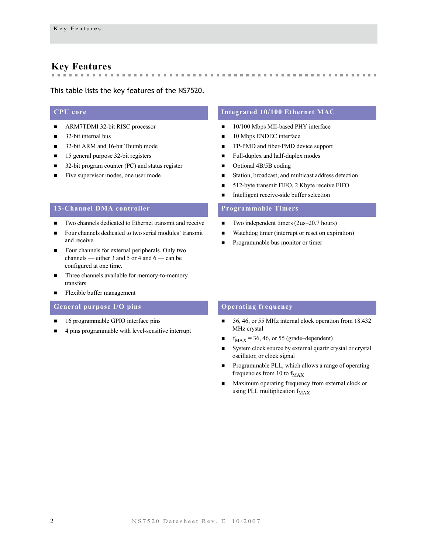# <span id="page-5-0"></span>**Key Features**

#### This table lists the key features of the NS7520.

- ARM7TDMI 32-bit RISC processor
- $\blacksquare$  32-bit internal bus
- 32-bit ARM and 16-bit Thumb mode
- 15 general purpose 32-bit registers
- 32-bit program counter (PC) and status register
- Five supervisor modes, one user mode

#### **13-Channel DMA controller Programmable Timers**

- Two channels dedicated to Ethernet transmit and receive
- Four channels dedicated to two serial modules' transmit and receive
- Four channels for external peripherals. Only two channels — either 3 and 5 or 4 and 6 — can be configured at one time.
- Three channels available for memory-to-memory transfers
- **Flexible buffer management**

#### **General purpose I/O pins COPER CONSUMPTER CONSUMPTER CONSUMPTER CONSUMPTER CONSUMPTER CONSUMPTER CONSUMPTER CONSUMPTER CONSUMPTER CONSUMPTER CONSUMPTER CONSUMPTER CONSUMPTER CONSUMPTER CONSUMPTER CONSUMPTER CONSUMPTER C**

- 16 programmable GPIO interface pins
- 4 pins programmable with level-sensitive interrupt

#### **CPU core Integrated 10/100 Ethernet MAC**

 $\bar{a}$  $\mathbb{R}^n$  $\mathbf{m}$  **A REPORT OF A REPORT OF A REPORT OF A REPORT** 

- 10/100 Mbps MII-based PHY interface
- 10 Mbps ENDEC interface

the control of the control of the con-

- TP-PMD and fiber-PMD device support
- Full-duplex and half-duplex modes
- Optional 4B/5B coding
- Station, broadcast, and multicast address detection
- 512-byte transmit FIFO, 2 Kbyte receive FIFO
- **Intelligent receive-side buffer selection**

- $\blacksquare$  Two independent timers (2μs–20.7 hours)
- Watchdog timer (interrupt or reset on expiration)
- Programmable bus monitor or timer

- $\blacksquare$  36, 46, or 55 MHz internal clock operation from 18.432 MHz crystal
- $f_{MAX} = 36, 46,$  or 55 (grade–dependent)
- System clock source by external quartz crystal or crystal oscillator, or clock signal
- **Programmable PLL, which allows a range of operating** frequencies from 10 to  $f_{MAX}$
- Maximum operating frequency from external clock or using PLL multiplication  $f_{MAX}$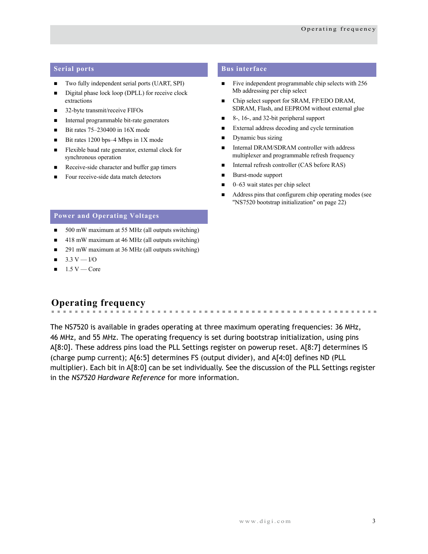- Two fully independent serial ports (UART, SPI)
- Digital phase lock loop (DPLL) for receive clock extractions
- 32-byte transmit/receive FIFOs
- Internal programmable bit-rate generators
- Bit rates  $75-230400$  in  $16X$  mode
- Bit rates 1200 bps–4 Mbps in  $1X$  mode
- Flexible baud rate generator, external clock for synchronous operation
- Receive-side character and buffer gap timers
- Four receive-side data match detectors

### **Serial ports Bus interface**

- $\blacksquare$  Five independent programmable chip selects with 256 Mb addressing per chip select
- Chip select support for SRAM, FP/EDO DRAM, SDRAM, Flash, and EEPROM without external glue
- 8-, 16-, and 32-bit peripheral support
- External address decoding and cycle termination
- Dynamic bus sizing
- Internal DRAM/SDRAM controller with address multiplexer and programmable refresh frequency
- Internal refresh controller (CAS before RAS)
- Burst-mode support
- 0–63 wait states per chip select
- Address pins that configurem chip operating modes (see ["NS7520 bootstrap initialization" on page 22](#page-25-0))

# **Power and Operating Voltages**

- 500 mW maximum at 55 MHz (all outputs switching)
- $\blacksquare$  418 mW maximum at 46 MHz (all outputs switching)
- 291 mW maximum at 36 MHz (all outputs switching)
- $\blacksquare$  3.3 V I/O
- $1.5 V$  Core

#### <span id="page-6-0"></span>**Operating frequency** . . . . . . . . . . . .

The NS7520 is available in grades operating at three maximum operating frequencies: 36 MHz, 46 MHz, and 55 MHz. The operating frequency is set during bootstrap initialization, using pins A[8:0]. These address pins load the PLL Settings register on powerup reset. A[8:7] determines IS (charge pump current); A[6:5] determines FS (output divider), and A[4:0] defines ND (PLL multiplier). Each bit in A[8:0] can be set individually. See the discussion of the PLL Settings register in the *NS7520 Hardware Reference* for more information.

. . . . . . . .

 $\mathbf{m}$  ,  $\mathbf{m}$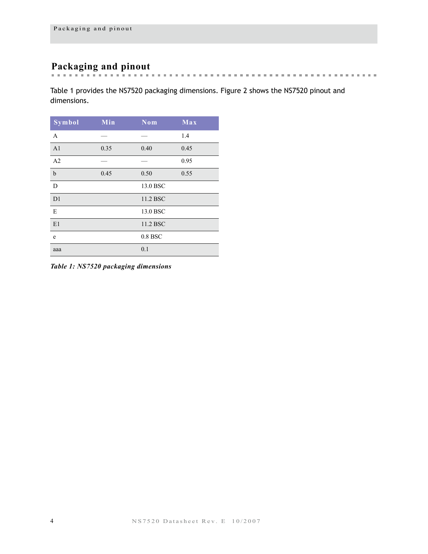# <span id="page-7-0"></span>**Packaging and pinout**

[Table 1](#page-7-1) provides the NS7520 packaging dimensions. [Figure 2](#page-8-0) shows the NS7520 pinout and dimensions.

| <b>Symbol</b>  | Min  | Nom       | Max  |
|----------------|------|-----------|------|
| $\mathbf{A}$   |      |           | 1.4  |
| A <sub>1</sub> | 0.35 | 0.40      | 0.45 |
| A2             |      |           | 0.95 |
| $\mathbf b$    | 0.45 | 0.50      | 0.55 |
| D              |      | 13.0 BSC  |      |
| D <sub>1</sub> |      | 11.2 BSC  |      |
| E              |      | 13.0 BSC  |      |
| E1             |      | 11.2 BSC  |      |
| e              |      | $0.8$ BSC |      |
| aaa            |      | 0.1       |      |

<span id="page-7-1"></span>*Table 1: NS7520 packaging dimensions*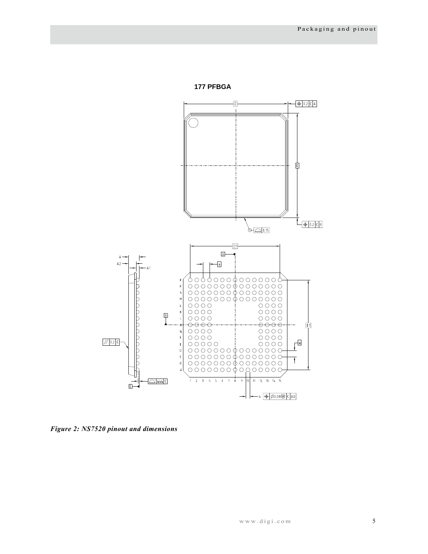



<span id="page-8-0"></span>*Figure 2: NS7520 pinout and dimensions*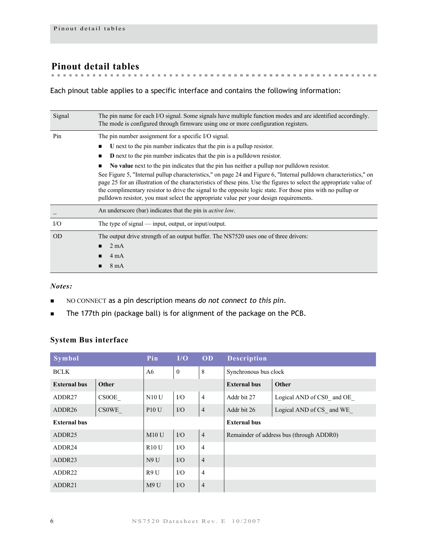# <span id="page-9-0"></span>**Pinout detail tables**

Each pinout table applies to a specific interface and contains the following information:

| Signal    | The pin name for each I/O signal. Some signals have multiple function modes and are identified accordingly.<br>The mode is configured through firmware using one or more configuration registers.                                                                                                                                                                                                                                                   |  |  |  |  |  |  |
|-----------|-----------------------------------------------------------------------------------------------------------------------------------------------------------------------------------------------------------------------------------------------------------------------------------------------------------------------------------------------------------------------------------------------------------------------------------------------------|--|--|--|--|--|--|
| Pin       | The pin number assignment for a specific I/O signal.                                                                                                                                                                                                                                                                                                                                                                                                |  |  |  |  |  |  |
|           | U next to the pin number indicates that the pin is a pullup resistor.<br>■                                                                                                                                                                                                                                                                                                                                                                          |  |  |  |  |  |  |
|           | <b>D</b> next to the pin number indicates that the pin is a pulldown resistor.<br>$\blacksquare$                                                                                                                                                                                                                                                                                                                                                    |  |  |  |  |  |  |
|           | No value next to the pin indicates that the pin has neither a pullup nor pulldown resistor.                                                                                                                                                                                                                                                                                                                                                         |  |  |  |  |  |  |
|           | See Figure 5, "Internal pullup characteristics," on page 24 and Figure 6, "Internal pulldown characteristics," on<br>page 25 for an illustration of the characteristics of these pins. Use the figures to select the appropriate value of<br>the complimentary resistor to drive the signal to the opposite logic state. For those pins with no pullup or<br>pulldown resistor, you must select the appropriate value per your design requirements. |  |  |  |  |  |  |
|           | An underscore (bar) indicates that the pin is <i>active low</i> .                                                                                                                                                                                                                                                                                                                                                                                   |  |  |  |  |  |  |
| I/O       | The type of signal $-$ input, output, or input/output.                                                                                                                                                                                                                                                                                                                                                                                              |  |  |  |  |  |  |
| <b>OD</b> | The output drive strength of an output buffer. The NS7520 uses one of three drivers:                                                                                                                                                                                                                                                                                                                                                                |  |  |  |  |  |  |
|           | $2 \text{ mA}$                                                                                                                                                                                                                                                                                                                                                                                                                                      |  |  |  |  |  |  |
|           | 4 mA                                                                                                                                                                                                                                                                                                                                                                                                                                                |  |  |  |  |  |  |
|           | $8 \text{ mA}$                                                                                                                                                                                                                                                                                                                                                                                                                                      |  |  |  |  |  |  |

#### *Notes:*

- NO CONNECT as a pin description means *do not connect to this pin*.
- The 177th pin (package ball) is for alignment of the package on the PCB.

# <span id="page-9-1"></span>**System Bus interface**

| Symbol              |              | Pin          | I/O          | OD             | <b>Description</b>    |                                          |
|---------------------|--------------|--------------|--------------|----------------|-----------------------|------------------------------------------|
| <b>BCLK</b>         |              | A6           | $\mathbf{0}$ | 8              | Synchronous bus clock |                                          |
| <b>External bus</b> | Other        |              |              |                | <b>External bus</b>   | Other                                    |
| ADDR <sub>27</sub>  | <b>CSOOE</b> | <b>N10 U</b> | I/O          | $\overline{4}$ | Addr bit 27           | Logical AND of CS0 and OE                |
| ADDR26              | <b>CSOWE</b> | <b>P10 U</b> | $\rm I/O$    | $\overline{4}$ | Addr bit 26           | Logical AND of CS and WE                 |
| <b>External bus</b> |              |              |              |                | <b>External bus</b>   |                                          |
| ADDR25              |              | M10U         | $IO$         | $\overline{4}$ |                       | Remainder of address bus (through ADDR0) |
| ADDR24              |              | R10U         | $\rm I/O$    | $\overline{4}$ |                       |                                          |
| ADDR <sub>23</sub>  |              | N9U          | $\rm I/O$    | $\overline{4}$ |                       |                                          |
| ADDR22              |              | R9 U         | I/O          | $\overline{4}$ |                       |                                          |
| ADDR21              |              | M9U          | $IO$         | $\overline{4}$ |                       |                                          |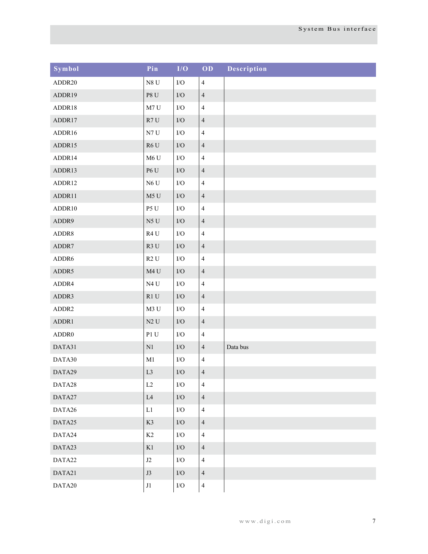| Symbol | Pin                    | I/O         | OD             | Description |
|--------|------------------------|-------------|----------------|-------------|
| ADDR20 | $N8$ U                 | ${\rm I/O}$ | $\overline{4}$ |             |
| ADDR19 | $\rm P8$ U             | $\rm I/O$   | $\overline{4}$ |             |
| ADDR18 | M7U                    | $\rm I/O$   | $\overline{4}$ |             |
| ADDR17 | R7U                    | $\rm I/O$   | $\overline{4}$ |             |
| ADDR16 | N7U                    | $\rm I/O$   | $\overline{4}$ |             |
| ADDR15 | R6U                    | $\rm I/O$   | $\overline{4}$ |             |
| ADDR14 | M6U                    | $\rm I/O$   | $\overline{4}$ |             |
| ADDR13 | $\rm P6$ U             | $\rm I/O$   | $\overline{4}$ |             |
| ADDR12 | N6U                    | $\rm I/O$   | $\overline{4}$ |             |
| ADDR11 | M5 U                   | $\rm I/O$   | $\overline{4}$ |             |
| ADDR10 | P5 U                   | $\rm I/O$   | $\overline{4}$ |             |
| ADDR9  | $\rm N5$ U             | $\rm I/O$   | $\overline{4}$ |             |
| ADDR8  | R <sub>4</sub> U       | $\rm I/O$   | $\overline{4}$ |             |
| ADDR7  | R3U                    | $\rm I/O$   | $\overline{4}$ |             |
| ADDR6  | R2U                    | ${\rm I/O}$ | $\overline{4}$ |             |
| ADDR5  | M <sub>4</sub> U       | $\rm I/O$   | $\overline{4}$ |             |
| ADDR4  | N4U                    | ${\rm I/O}$ | $\overline{4}$ |             |
| ADDR3  | R1U                    | $\rm I/O$   | $\overline{4}$ |             |
| ADDR2  | M3 U                   | ${\rm I/O}$ | $\overline{4}$ |             |
| ADDR1  | $\rm N2$ U             | $\rm I/O$   | $\overline{4}$ |             |
| ADDR0  | $\mathbf{P}1$ U        | ${\rm I/O}$ | $\overline{4}$ |             |
| DATA31 | $\rm N1$               | $\rm I/O$   | $\overline{4}$ | Data bus    |
| DATA30 | $\mathbf{M}1$          | ${\rm I/O}$ | $\overline{4}$ |             |
| DATA29 | L <sub>3</sub>         | $\rm I/O$   | $\overline{4}$ |             |
| DATA28 | $\rm L2$               | ${\rm I/O}$ | $\overline{4}$ |             |
| DATA27 | $\mathop{\mathrm{L4}}$ | ${\rm I/O}$ | $\overline{4}$ |             |
| DATA26 | $\mathop{\rm L{1}}$    | ${\rm I/O}$ | $\overline{4}$ |             |
| DATA25 | K3                     | ${\rm I/O}$ | $\overline{4}$ |             |
| DATA24 | K2                     | ${\rm I/O}$ | $\overline{4}$ |             |
| DATA23 | K1                     | ${\rm I/O}$ | $\overline{4}$ |             |
| DATA22 | $\rm J2$               | ${\rm I/O}$ | $\overline{4}$ |             |
| DATA21 | $\mathbf{J3}$          | $\rm I/O$   | $\overline{4}$ |             |
| DATA20 | $\rm J1$               | $\rm I/O$   | $\overline{4}$ |             |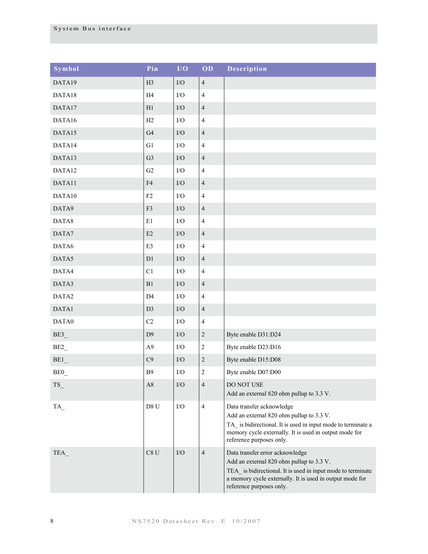| Symbol                         | Pin             | I/O         | OD                      | <b>Description</b>                                                                                                                                                                                                                  |
|--------------------------------|-----------------|-------------|-------------------------|-------------------------------------------------------------------------------------------------------------------------------------------------------------------------------------------------------------------------------------|
| DATA19                         | H <sub>3</sub>  | $\rm I/O$   | $\sqrt{4}$              |                                                                                                                                                                                                                                     |
| DATA18                         | H <sub>4</sub>  | ${\rm I/O}$ | $\overline{4}$          |                                                                                                                                                                                                                                     |
| DATA17                         | H1              | $\rm I/O$   | $\overline{4}$          |                                                                                                                                                                                                                                     |
| DATA16                         | H2              | ${\rm I/O}$ | $\overline{4}$          |                                                                                                                                                                                                                                     |
| DATA15                         | G4              | $\rm I/O$   | $\overline{4}$          |                                                                                                                                                                                                                                     |
| DATA14                         | G1              | ${\rm I/O}$ | $\overline{4}$          |                                                                                                                                                                                                                                     |
| DATA13                         | G <sub>3</sub>  | $\rm I/O$   | $\overline{4}$          |                                                                                                                                                                                                                                     |
| DATA12                         | G2              | ${\rm I/O}$ | $\overline{4}$          |                                                                                                                                                                                                                                     |
| DATA11                         | F4              | $\rm I/O$   | $\overline{4}$          |                                                                                                                                                                                                                                     |
| DATA10                         | F2              | $\rm I/O$   | $\overline{4}$          |                                                                                                                                                                                                                                     |
| DATA9                          | F3              | $\rm I/O$   | $\overline{4}$          |                                                                                                                                                                                                                                     |
| DATA8                          | E1              | $\rm I/O$   | $\overline{4}$          |                                                                                                                                                                                                                                     |
| DATA7                          | E2              | $\rm I/O$   | $\overline{4}$          |                                                                                                                                                                                                                                     |
| DATA6                          | $\mathbf{E}3$   | $\rm I/O$   | $\overline{4}$          |                                                                                                                                                                                                                                     |
| DATA5                          | D1              | $\rm I/O$   | $\overline{4}$          |                                                                                                                                                                                                                                     |
| DATA4                          | C1              | $\rm I/O$   | $\overline{4}$          |                                                                                                                                                                                                                                     |
| DATA3                          | B1              | $\rm I/O$   | $\overline{4}$          |                                                                                                                                                                                                                                     |
| DATA2                          | D <sub>4</sub>  | ${\rm I/O}$ | $\overline{4}$          |                                                                                                                                                                                                                                     |
| DATA1                          | D <sub>3</sub>  | $\rm I/O$   | $\overline{4}$          |                                                                                                                                                                                                                                     |
| DATA0                          | C <sub>2</sub>  | ${\rm I/O}$ | $\overline{4}$          |                                                                                                                                                                                                                                     |
| BE3                            | D <sub>9</sub>  | $\rm I/O$   | $\overline{c}$          | Byte enable D31:D24                                                                                                                                                                                                                 |
| BE2                            | A <sub>9</sub>  | $\rm I/O$   | $\sqrt{2}$              | Byte enable D23:D16                                                                                                                                                                                                                 |
| BE1                            | C9              | $\rm I/O$   | $\overline{c}$          | Byte enable D15:D08                                                                                                                                                                                                                 |
| BE <sub>0</sub>                | B <sub>9</sub>  | $\rm I/O$   | $\overline{\mathbf{c}}$ | Byte enable D07:D00                                                                                                                                                                                                                 |
| TS                             | A8              | I/O         | $\overline{4}$          | DO NOT USE<br>Add an external 820 ohm pullup to 3.3 V.                                                                                                                                                                              |
| $TA$ <sub><math>-</math></sub> | D8 U            | I/O         | $\overline{4}$          | Data transfer acknowledge<br>Add an external 820 ohm pullup to 3.3 V.<br>TA is bidirectional. It is used in input mode to terminate a<br>memory cycle externally. It is used in output mode for<br>reference purposes only.         |
| TEA                            | C8 <sub>U</sub> | I/O         | $\overline{4}$          | Data transfer error acknowledge<br>Add an external 820 ohm pullup to 3.3 V.<br>TEA_ is bidirectional. It is used in input mode to terminate<br>a memory cycle externally. It is used in output mode for<br>reference purposes only. |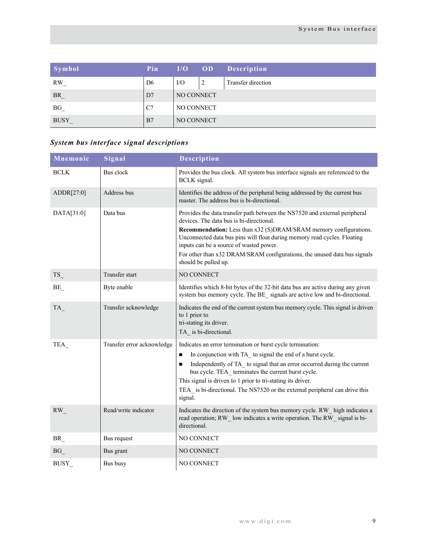| Symbol      | Pin            | I/O        | OD | <b>Description</b> |  |
|-------------|----------------|------------|----|--------------------|--|
| <b>RW</b>   | D <sub>6</sub> | $VO$       | 2  | Transfer direction |  |
| $BR_$       | D7             | NO CONNECT |    |                    |  |
| BG          | C7             | NO CONNECT |    |                    |  |
| <b>BUSY</b> | B7             | NO CONNECT |    |                    |  |

# *System bus interface signal descriptions*

| Mnemonic    | Signal                     | Description                                                                                                                                                                                                                                                                                                                                                                                                                                             |
|-------------|----------------------------|---------------------------------------------------------------------------------------------------------------------------------------------------------------------------------------------------------------------------------------------------------------------------------------------------------------------------------------------------------------------------------------------------------------------------------------------------------|
| <b>BCLK</b> | Bus clock                  | Provides the bus clock. All system bus interface signals are referenced to the<br><b>BCLK</b> signal.                                                                                                                                                                                                                                                                                                                                                   |
| ADDR[27:0]  | Address bus                | Identifies the address of the peripheral being addressed by the current bus<br>master. The address bus is bi-directional.                                                                                                                                                                                                                                                                                                                               |
| DATA[31:0]  | Data bus                   | Provides the data transfer path between the NS7520 and external peripheral<br>devices. The data bus is bi-directional.<br>Recommendation: Less than x32 (S)DRAM/SRAM memory configurations.<br>Unconnected data bus pins will float during memory read cycles. Floating<br>inputs can be a source of wasted power.<br>For other than x32 DRAM/SRAM configurations, the unused data bus signals<br>should be pulled up.                                  |
| TS          | <b>Transfer start</b>      | <b>NO CONNECT</b>                                                                                                                                                                                                                                                                                                                                                                                                                                       |
| BE          | Byte enable                | Identifies which 8-bit bytes of the 32-bit data bus are active during any given<br>system bus memory cycle. The BE signals are active low and bi-directional.                                                                                                                                                                                                                                                                                           |
| <b>TA</b>   | Transfer acknowledge       | Indicates the end of the current system bus memory cycle. This signal is driven<br>to 1 prior to<br>tri-stating its driver.<br>TA is bi-directional.                                                                                                                                                                                                                                                                                                    |
| TEA         | Transfer error acknowledge | Indicates an error termination or burst cycle termination:<br>In conjunction with TA_ to signal the end of a burst cycle.<br>$\blacksquare$<br>Independently of TA to signal that an error occurred during the current<br>$\blacksquare$<br>bus cycle. TEA_terminates the current burst cycle.<br>This signal is driven to 1 prior to tri-stating its driver.<br>TEA is bi-directional. The NS7520 or the external peripheral can drive this<br>signal. |
| RW          | Read/write indicator       | Indicates the direction of the system bus memory cycle. RW high indicates a<br>read operation; RW low indicates a write operation. The RW signal is bi-<br>directional.                                                                                                                                                                                                                                                                                 |
| BR          | Bus request                | NO CONNECT                                                                                                                                                                                                                                                                                                                                                                                                                                              |
| BG          | Bus grant                  | NO CONNECT                                                                                                                                                                                                                                                                                                                                                                                                                                              |
| BUSY        | Bus busy                   | NO CONNECT                                                                                                                                                                                                                                                                                                                                                                                                                                              |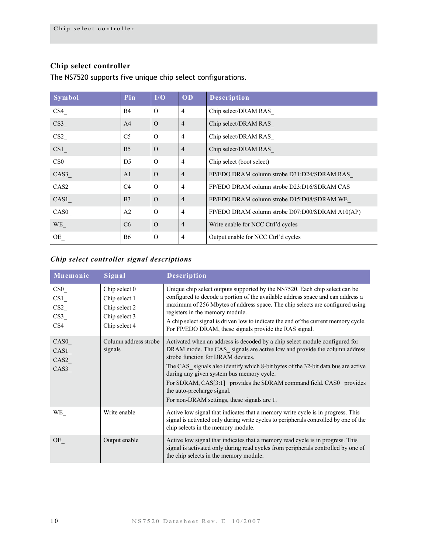# <span id="page-13-0"></span>**Chip select controller**

The NS7520 supports five unique chip select configurations.

| Symbol          | Pin            | I/O           | OD             | <b>Description</b>                              |
|-----------------|----------------|---------------|----------------|-------------------------------------------------|
| CS4             | <b>B4</b>      | $\Omega$      | $\overline{4}$ | Chip select/DRAM RAS                            |
| CS3             | A <sup>4</sup> | $\Omega$      | $\overline{4}$ | Chip select/DRAM RAS                            |
| CS <sub>2</sub> | C <sub>5</sub> | $\Omega$      | $\overline{4}$ | Chip select/DRAM RAS                            |
| CS1             | B <sub>5</sub> | $\Omega$      | $\overline{4}$ | Chip select/DRAM RAS                            |
| CS0             | D <sub>5</sub> | $\Omega$      | $\overline{4}$ | Chip select (boot select)                       |
| CAS3            | A <sub>1</sub> | $\Omega$      | $\overline{4}$ | FP/EDO DRAM column strobe D31:D24/SDRAM RAS     |
| CAS2            | C <sub>4</sub> | $\Omega$      | $\overline{4}$ | FP/EDO DRAM column strobe D23:D16/SDRAM CAS     |
| CAS1            | B <sub>3</sub> | $\Omega$      | $\overline{4}$ | FP/EDO DRAM column strobe D15:D08/SDRAM WE      |
| CAS0            | A2             | $\Omega$      | $\overline{4}$ | FP/EDO DRAM column strobe D07:D00/SDRAM A10(AP) |
| WE_             | C <sub>6</sub> | $\Omega$      | $\overline{4}$ | Write enable for NCC Ctrl'd cycles              |
| OE              | <b>B6</b>      | $\mathcal{O}$ | 4              | Output enable for NCC Ctrl'd cycles             |

# *Chip select controller signal descriptions*

| Mnemonic                                    | Signal                                                                            | Description                                                                                                                                                                                                                                                                                                                                                                                                                                                                        |
|---------------------------------------------|-----------------------------------------------------------------------------------|------------------------------------------------------------------------------------------------------------------------------------------------------------------------------------------------------------------------------------------------------------------------------------------------------------------------------------------------------------------------------------------------------------------------------------------------------------------------------------|
| CS0<br>CS1<br>CS2<br>CS <sub>2</sub><br>CS4 | Chip select 0<br>Chip select 1<br>Chip select 2<br>Chip select 3<br>Chip select 4 | Unique chip select outputs supported by the NS7520. Each chip select can be<br>configured to decode a portion of the available address space and can address a<br>maximum of 256 Mbytes of address space. The chip selects are configured using<br>registers in the memory module.<br>A chip select signal is driven low to indicate the end of the current memory cycle.<br>For FP/EDO DRAM, these signals provide the RAS signal.                                                |
| CAS <sub>0</sub><br>CAS1<br>CAS2<br>CAS3    | Column address strobe<br>signals                                                  | Activated when an address is decoded by a chip select module configured for<br>DRAM mode. The CAS signals are active low and provide the column address<br>strobe function for DRAM devices.<br>The CAS signals also identify which 8-bit bytes of the 32-bit data bus are active<br>during any given system bus memory cycle.<br>For SDRAM, CAS[3:1] provides the SDRAM command field. CAS0 provides<br>the auto-precharge signal.<br>For non-DRAM settings, these signals are 1. |
| WE_                                         | Write enable                                                                      | Active low signal that indicates that a memory write cycle is in progress. This<br>signal is activated only during write cycles to peripherals controlled by one of the<br>chip selects in the memory module.                                                                                                                                                                                                                                                                      |
| OE                                          | Output enable                                                                     | Active low signal that indicates that a memory read cycle is in progress. This<br>signal is activated only during read cycles from peripherals controlled by one of<br>the chip selects in the memory module.                                                                                                                                                                                                                                                                      |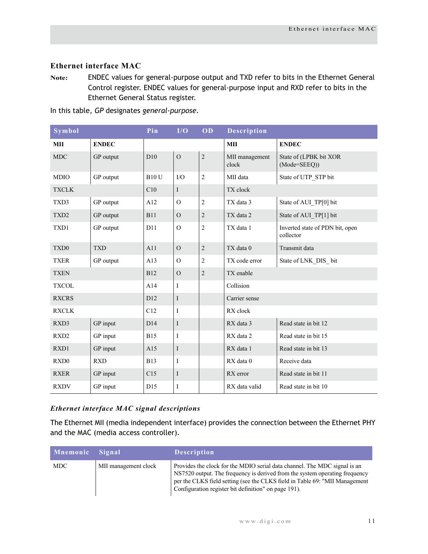# <span id="page-14-0"></span>**Ethernet interface MAC**

**Note:** ENDEC values for general-purpose output and TXD refer to bits in the Ethernet General Control register. ENDEC values for general-purpose input and RXD refer to bits in the Ethernet General Status register.

| Symbol           |              | Pin          | I/O            | OD             | <b>Description</b>      |                                              |
|------------------|--------------|--------------|----------------|----------------|-------------------------|----------------------------------------------|
| MII              | <b>ENDEC</b> |              |                |                | MII                     | <b>ENDEC</b>                                 |
| <b>MDC</b>       | GP output    | D10          | $\overline{O}$ | $\sqrt{2}$     | MII management<br>clock | State of (LPBK bit XOR<br>(Mode=SEEQ))       |
| <b>MDIO</b>      | GP output    | <b>B10 U</b> | $\rm LO$       | $\overline{2}$ | MII data                | State of UTP STP bit                         |
| <b>TXCLK</b>     |              | C10          | I              |                | TX clock                |                                              |
| TXD3             | GP output    | A12          | $\overline{O}$ | $\overline{c}$ | TX data 3               | State of AUI TP[0] bit                       |
| TXD <sub>2</sub> | GP output    | <b>B11</b>   | $\overline{O}$ | $\sqrt{2}$     | TX data 2               | State of AUI_TP[1] bit                       |
| TXD1             | GP output    | D11          | $\overline{O}$ | $\overline{c}$ | TX data 1               | Inverted state of PDN bit, open<br>collector |
| TXD <sub>0</sub> | <b>TXD</b>   | A11          | $\mathcal{O}$  | $\sqrt{2}$     | TX data 0               | Transmit data                                |
| <b>TXER</b>      | GP output    | A13          | $\Omega$       | $\overline{c}$ | TX code error           | State of LNK DIS bit                         |
| <b>TXEN</b>      |              | <b>B12</b>   | $\mathcal{O}$  | $\overline{c}$ | TX enable               |                                              |
| <b>TXCOL</b>     |              | A14          | Ι              |                | Collision               |                                              |
| <b>RXCRS</b>     |              | D12          | $\bf{I}$       |                | Carrier sense           |                                              |
| <b>RXCLK</b>     |              | C12          | I              |                | RX clock                |                                              |
| RXD3             | GP input     | D14          | $\bf{I}$       |                | RX data 3               | Read state in bit 12                         |
| RXD <sub>2</sub> | GP input     | <b>B</b> 15  | I              |                | RX data 2               | Read state in bit 15                         |
| RXD1             | GP input     | A15          | $\bf{I}$       |                | RX data 1               | Read state in bit 13                         |
| RXD <sub>0</sub> | <b>RXD</b>   | <b>B13</b>   | I              |                | RX data 0               | Receive data                                 |
| <b>RXER</b>      | GP input     | C15          | $\bf{I}$       |                | RX error                | Read state in bit 11                         |
| <b>RXDV</b>      | GP input     | D15          | I              |                | RX data valid           | Read state in bit 10                         |

In this table, *GP* designates *general-purpose*.

#### *Ethernet interface MAC signal descriptions*

The Ethernet MII (media independent interface) provides the connection between the Ethernet PHY and the MAC (media access controller).

| Mnemonic Signal |                      | <b>Description</b>                                                                                                                                                                                                                                                                              |
|-----------------|----------------------|-------------------------------------------------------------------------------------------------------------------------------------------------------------------------------------------------------------------------------------------------------------------------------------------------|
| <b>MDC</b>      | MII management clock | Provides the clock for the MDIO serial data channel. The MDC signal is an<br>NS7520 output. The frequency is derived from the system operating frequency<br>per the CLKS field setting (see the CLKS field in Table 69: "MII Management<br>Configuration register bit definition" on page 191). |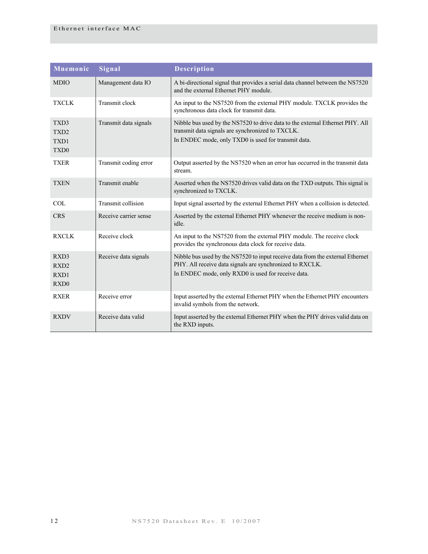| Mnemonic                                             | Signal                | <b>Description</b>                                                                                                                                                                               |  |
|------------------------------------------------------|-----------------------|--------------------------------------------------------------------------------------------------------------------------------------------------------------------------------------------------|--|
| <b>MDIO</b>                                          | Management data IO    | A bi-directional signal that provides a serial data channel between the NS7520<br>and the external Ethernet PHY module.                                                                          |  |
| <b>TXCLK</b>                                         | Transmit clock        | An input to the NS7520 from the external PHY module. TXCLK provides the<br>synchronous data clock for transmit data.                                                                             |  |
| TXD3<br>TXD <sub>2</sub><br>TXD1<br>TXD <sub>0</sub> | Transmit data signals | Nibble bus used by the NS7520 to drive data to the external Ethernet PHY. All<br>transmit data signals are synchronized to TXCLK.<br>In ENDEC mode, only TXD0 is used for transmit data.         |  |
| <b>TXER</b>                                          | Transmit coding error | Output asserted by the NS7520 when an error has occurred in the transmit data<br>stream.                                                                                                         |  |
| <b>TXEN</b>                                          | Transmit enable       | Asserted when the NS7520 drives valid data on the TXD outputs. This signal is<br>synchronized to TXCLK.                                                                                          |  |
| COL                                                  | Transmit collision    | Input signal asserted by the external Ethernet PHY when a collision is detected.                                                                                                                 |  |
| <b>CRS</b>                                           | Receive carrier sense | Asserted by the external Ethernet PHY whenever the receive medium is non-<br>idle.                                                                                                               |  |
| <b>RXCLK</b>                                         | Receive clock         | An input to the NS7520 from the external PHY module. The receive clock<br>provides the synchronous data clock for receive data.                                                                  |  |
| RXD3<br>RXD <sub>2</sub><br>RXD1<br>RXD <sub>0</sub> | Receive data signals  | Nibble bus used by the NS7520 to input receive data from the external Ethernet<br>PHY. All receive data signals are synchronized to RXCLK.<br>In ENDEC mode, only RXD0 is used for receive data. |  |
| <b>RXER</b>                                          | Receive error         | Input asserted by the external Ethernet PHY when the Ethernet PHY encounters<br>invalid symbols from the network.                                                                                |  |
| <b>RXDV</b>                                          | Receive data valid    | Input asserted by the external Ethernet PHY when the PHY drives valid data on<br>the RXD inputs.                                                                                                 |  |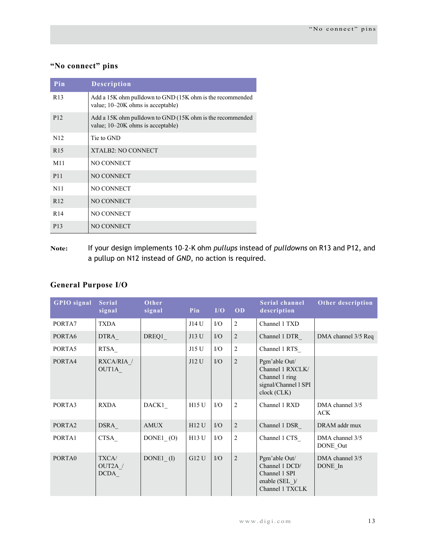# <span id="page-16-0"></span>**"No connect" pins**

| Pin             | <b>Description</b>                                                                             |
|-----------------|------------------------------------------------------------------------------------------------|
| R <sub>13</sub> | Add a 15K ohm pulldown to GND (15K ohm is the recommended<br>value; 10-20K ohms is acceptable) |
| P <sub>12</sub> | Add a 15K ohm pulldown to GND (15K ohm is the recommended<br>value; 10-20K ohms is acceptable) |
| N <sub>12</sub> | Tie to GND                                                                                     |
| R <sub>15</sub> | <b>XTALB2: NO CONNECT</b>                                                                      |
| M11             | NO CONNECT                                                                                     |
| P <sub>11</sub> | <b>NO CONNECT</b>                                                                              |
| N11             | NO CONNECT                                                                                     |
| R <sub>12</sub> | <b>NO CONNECT</b>                                                                              |
| R <sub>14</sub> | NO CONNECT                                                                                     |
| P <sub>13</sub> | NO CONNECT                                                                                     |

**Note:** If your design implements 10–2-K ohm *pullups* instead of *pulldowns* on R13 and P12, and a pullup on N12 instead of *GND*, no action is required.

# <span id="page-16-1"></span>**General Purpose I/O**

| <b>GPIO</b> signal | <b>Serial</b><br>signal         | Other<br>signal | Pin          | I/O       | OD             | Serial channel<br>description                                                              | Other description             |
|--------------------|---------------------------------|-----------------|--------------|-----------|----------------|--------------------------------------------------------------------------------------------|-------------------------------|
| PORTA7             | <b>TXDA</b>                     |                 | J14 U        | $\rm LO$  | $\overline{2}$ | Channel 1 TXD                                                                              |                               |
| PORTA6             | <b>DTRA</b>                     | DREQ1           | J13 U        | $IO$      | $\overline{2}$ | Channel 1 DTR                                                                              | DMA channel 3/5 Req           |
| PORTA5             | RTSA                            |                 | J15 U        | $\rm I/O$ | $\overline{c}$ | Channel 1 RTS                                                                              |                               |
| PORTA4             | RXCA/RIA /<br>OUT1A             |                 | J12 U        | $IO$      | $\overline{2}$ | Pgm'able Out/<br>Channel 1 RXCLK/<br>Channel 1 ring<br>signal/Channel 1 SPI<br>clock (CLK) |                               |
| PORTA3             | <b>RXDA</b>                     | DACK1           | <b>H15 U</b> | $\rm I/O$ | $\overline{2}$ | Channel 1 RXD                                                                              | DMA channel 3/5<br><b>ACK</b> |
| PORTA2             | DSRA                            | AMUX            | <b>H12 U</b> | $IO$      | $\overline{2}$ | Channel 1 DSR                                                                              | DRAM addr mux                 |
| PORTA1             | CTSA                            | DONE1 (O)       | <b>H13 U</b> | $\rm I/O$ | $\overline{c}$ | Channel 1 CTS                                                                              | DMA channel 3/5<br>DONE Out   |
| PORTA0             | TXCA/<br>OUT2A /<br><b>DCDA</b> | DONE1 $(I)$     | G12 U        | $IO$      | $\overline{2}$ | Pgm'able Out/<br>Channel 1 DCD/<br>Channel 1 SPI<br>enable (SEL )/<br>Channel 1 TXCLK      | DMA channel 3/5<br>DONE In    |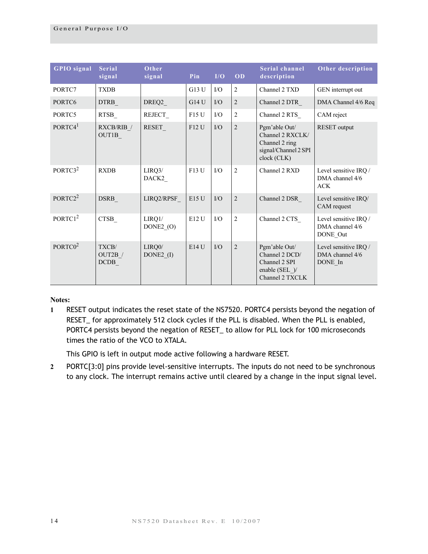| <b>GPIO</b> signal  | <b>Serial</b><br>signal  | Other<br>signal     | Pin   | I/O       | OD             | <b>Serial channel</b><br>description                                                       | Other description                                      |
|---------------------|--------------------------|---------------------|-------|-----------|----------------|--------------------------------------------------------------------------------------------|--------------------------------------------------------|
| PORTC7              | <b>TXDB</b>              |                     | G13 U | I/O       | $\overline{2}$ | Channel 2 TXD                                                                              | GEN interrupt out                                      |
| PORTC6              | <b>DTRB</b>              | DREQ2               | G14U  | $\rm I/O$ | $\sqrt{2}$     | Channel 2 DTR                                                                              | DMA Channel 4/6 Req                                    |
| PORTC5              | RTSB                     | REJECT              | F15U  | I/O       | $\overline{c}$ | Channel 2 RTS                                                                              | CAM reject                                             |
| PORTC4 <sup>1</sup> | RXCB/RIB /<br>OUT1B      | RESET               | F12 U | $\rm I/O$ | $\sqrt{2}$     | Pgm'able Out/<br>Channel 2 RXCLK/<br>Channel 2 ring<br>signal/Channel 2 SPI<br>clock (CLK) | <b>RESET</b> output                                    |
| PORTC3 <sup>2</sup> | <b>RXDB</b>              | LIRQ3/<br>DACK2     | F13 U | I/O       | $\overline{2}$ | Channel 2 RXD                                                                              | Level sensitive IRQ /<br>DMA channel 4/6<br><b>ACK</b> |
| PORTC2 <sup>2</sup> | DSRB                     | LIRQ2/RPSF          | E15U  | $\rm I/O$ | $\overline{2}$ | Channel 2 DSR                                                                              | Level sensitive IRQ/<br>CAM request                    |
| PORTC1 <sup>2</sup> | <b>CTSB</b>              | LIRQ1/<br>DONE2 (O) | E12 U | I/O       | $\overline{2}$ | Channel 2 CTS                                                                              | Level sensitive IRQ /<br>DMA channel 4/6<br>DONE Out   |
| PORTC0 <sup>2</sup> | TXCB/<br>OUT2B /<br>DCDB | LIRQ0/<br>DONE2 (I) | E14U  | I/O       | $\overline{2}$ | Pgm'able Out/<br>Channel 2 DCD/<br>Channel 2 SPI<br>enable (SEL $)$ /<br>Channel 2 TXCLK   | Level sensitive IRQ /<br>DMA channel 4/6<br>DONE In    |

**Notes:**

**1** RESET output indicates the reset state of the NS7520. PORTC4 persists beyond the negation of RESET\_ for approximately 512 clock cycles if the PLL is disabled. When the PLL is enabled, PORTC4 persists beyond the negation of RESET\_ to allow for PLL lock for 100 microseconds times the ratio of the VCO to XTALA.

This GPIO is left in output mode active following a hardware RESET.

**2** PORTC[3:0] pins provide level-sensitive interrupts. The inputs do not need to be synchronous to any clock. The interrupt remains active until cleared by a change in the input signal level.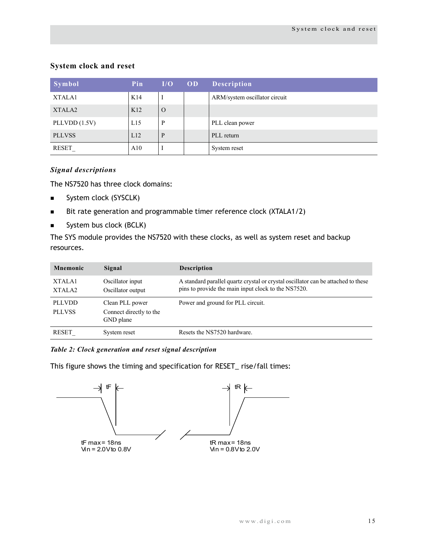# <span id="page-18-0"></span>**System clock and reset**

| Symbol             | Pin             | I/O      | OD | <b>Description</b>            |
|--------------------|-----------------|----------|----|-------------------------------|
| XTALA1             | K14             |          |    | ARM/system oscillator circuit |
| XTALA <sub>2</sub> | K <sub>12</sub> | $\Omega$ |    |                               |
| PLLVDD $(1.5V)$    | L15             | P        |    | PLL clean power               |
| <b>PLLVSS</b>      | L12             | P        |    | PLL return                    |
| RESET              | A10             |          |    | System reset                  |

### *Signal descriptions*

The NS7520 has three clock domains:

- System clock (SYSCLK)
- Bit rate generation and programmable timer reference clock (XTALA1/2)
- System bus clock (BCLK)

The SYS module provides the NS7520 with these clocks, as well as system reset and backup resources.

| <b>Mnemonic</b>                | Signal                                                  | <b>Description</b>                                                                                                                       |
|--------------------------------|---------------------------------------------------------|------------------------------------------------------------------------------------------------------------------------------------------|
| XTALA1<br>XTALA <sub>2</sub>   | Oscillator input<br>Oscillator output                   | A standard parallel quartz crystal or crystal oscillator can be attached to these<br>pins to provide the main input clock to the NS7520. |
| <b>PLLVDD</b><br><b>PLLVSS</b> | Clean PLL power<br>Connect directly to the<br>GND plane | Power and ground for PLL circuit.                                                                                                        |
| RESET                          | System reset                                            | Resets the NS7520 hardware.                                                                                                              |

*Table 2: Clock generation and reset signal description*

This figure shows the timing and specification for RESET\_ rise/fall times:

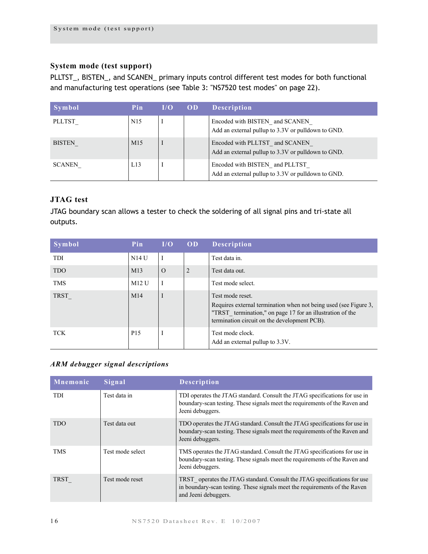# <span id="page-19-0"></span>**System mode (test support)**

PLLTST\_, BISTEN\_, and SCANEN\_ primary inputs control different test modes for both functional and manufacturing test operations (see [Table 3: "NS7520 test modes" on page 22\)](#page-25-3).

| Symbol        | Pin             | I/O | <b>OD</b> | <b>Description</b>                                                                   |
|---------------|-----------------|-----|-----------|--------------------------------------------------------------------------------------|
| <b>PLLTST</b> | N <sub>15</sub> |     |           | Encoded with BISTEN and SCANEN<br>Add an external pullup to 3.3V or pulldown to GND. |
| <b>BISTEN</b> | M <sub>15</sub> |     |           | Encoded with PLLTST and SCANEN<br>Add an external pullup to 3.3V or pulldown to GND. |
| <b>SCANEN</b> | L13             |     |           | Encoded with BISTEN and PLLTST<br>Add an external pullup to 3.3V or pulldown to GND. |

# <span id="page-19-1"></span>**JTAG test**

JTAG boundary scan allows a tester to check the soldering of all signal pins and tri-state all outputs.

| Symbol     | Pin             | I/O      | <b>OD</b>      | <b>Description</b>                                                                                                                                                                                |
|------------|-----------------|----------|----------------|---------------------------------------------------------------------------------------------------------------------------------------------------------------------------------------------------|
| <b>TDI</b> | N14U            | I        |                | Test data in.                                                                                                                                                                                     |
| <b>TDO</b> | M13             | $\Omega$ | $\overline{2}$ | Test data out.                                                                                                                                                                                    |
| <b>TMS</b> | $M12$ U         | I        |                | Test mode select.                                                                                                                                                                                 |
| TRST       | M14             | I        |                | Test mode reset.<br>Requires external termination when not being used (see Figure 3,<br>"TRST termination," on page 17 for an illustration of the<br>termination circuit on the development PCB). |
| <b>TCK</b> | P <sub>15</sub> | I        |                | Test mode clock.<br>Add an external pullup to 3.3V.                                                                                                                                               |

# *ARM debugger signal descriptions*

| Mnemonic    | Signal           | <b>Description</b>                                                                                                                                                             |
|-------------|------------------|--------------------------------------------------------------------------------------------------------------------------------------------------------------------------------|
| <b>TDI</b>  | Test data in     | TDI operates the JTAG standard. Consult the JTAG specifications for use in<br>boundary-scan testing. These signals meet the requirements of the Raven and<br>Jeeni debuggers.  |
| <b>TDO</b>  | Test data out    | TDO operates the JTAG standard. Consult the JTAG specifications for use in<br>boundary-scan testing. These signals meet the requirements of the Raven and<br>Jeeni debuggers.  |
| <b>TMS</b>  | Test mode select | TMS operates the JTAG standard. Consult the JTAG specifications for use in<br>boundary-scan testing. These signals meet the requirements of the Raven and<br>Jeeni debuggers.  |
| <b>TRST</b> | Test mode reset  | TRST operates the JTAG standard. Consult the JTAG specifications for use<br>in boundary-scan testing. These signals meet the requirements of the Raven<br>and Jeeni debuggers. |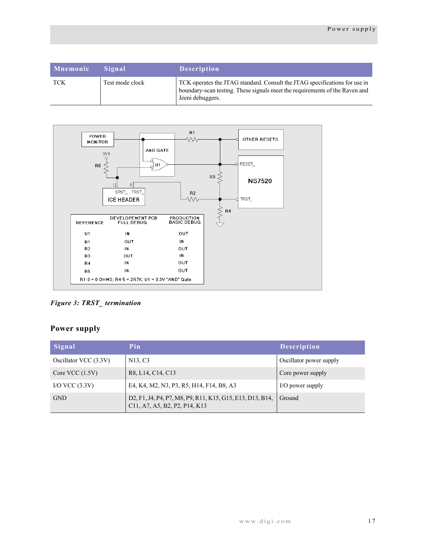| Mnemonic | <b>Signal</b>   | <b>Description</b>                                                                                                                                                            |
|----------|-----------------|-------------------------------------------------------------------------------------------------------------------------------------------------------------------------------|
| TCK      | Test mode clock | TCK operates the JTAG standard. Consult the JTAG specifications for use in<br>boundary-scan testing. These signals meet the requirements of the Raven and<br>Jeeni debuggers. |



<span id="page-20-1"></span>*Figure 3: TRST\_ termination*

# <span id="page-20-0"></span>**Power supply**

| Signal                | Pin                                                                                        | <b>Description</b>      |
|-----------------------|--------------------------------------------------------------------------------------------|-------------------------|
| Oscillator VCC (3.3V) | N <sub>13</sub> , C <sub>3</sub>                                                           | Oscillator power supply |
| Core VCC $(1.5V)$     | R8, L14, C14, C13                                                                          | Core power supply       |
| I/O VCC $(3.3V)$      | E4, K4, M2, N3, P3, R5, H14, F14, B8, A3                                                   | I/O power supply        |
| <b>GND</b>            | D2, F1, J4, P4, P7, M8, P9, R11, K15, G15, E13, D13, B14,<br>C11, A7, A5, B2, P2, P14, K13 | Ground                  |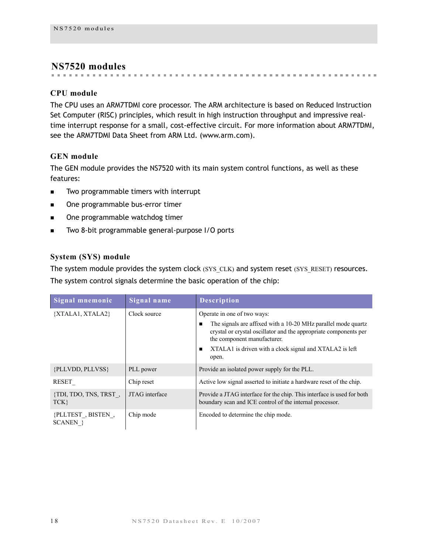# <span id="page-21-0"></span>**NS7520 modules**

# <span id="page-21-1"></span>**CPU module**

The CPU uses an ARM7TDMI core processor. The ARM architecture is based on Reduced Instruction Set Computer (RISC) principles, which result in high instruction throughput and impressive realtime interrupt response for a small, cost-effective circuit. For more information about ARM7TDMI, see the ARM7TDMI Data Sheet from ARM Ltd. (www.arm.com).

# <span id="page-21-2"></span>**GEN module**

The GEN module provides the NS7520 with its main system control functions, as well as these features:

- Two programmable timers with interrupt
- **nd** One programmable bus-error timer
- **Dree programmable watchdog timer**
- **Two 8-bit programmable general-purpose I/O ports**

# <span id="page-21-3"></span>**System (SYS) module**

The system module provides the system clock (SYS CLK) and system reset (SYS RESET) resources. The system control signals determine the basic operation of the chip:

| Signal mnemonic               | Signal name    | <b>Description</b>                                                                                                                                                                                                                                                  |
|-------------------------------|----------------|---------------------------------------------------------------------------------------------------------------------------------------------------------------------------------------------------------------------------------------------------------------------|
| {XTALA1, XTALA2}              | Clock source   | Operate in one of two ways:<br>The signals are affixed with a 10-20 MHz parallel mode quartz<br>crystal or crystal oscillator and the appropriate components per<br>the component manufacturer.<br>XTALA1 is driven with a clock signal and XTALA2 is left<br>open. |
| {PLLVDD, PLLVSS}              | PLL power      | Provide an isolated power supply for the PLL.                                                                                                                                                                                                                       |
| RESET                         | Chip reset     | Active low signal asserted to initiate a hardware reset of the chip.                                                                                                                                                                                                |
| {TDI, TDO, TNS, TRST,<br>TCK  | JTAG interface | Provide a JTAG interface for the chip. This interface is used for both<br>boundary scan and ICE control of the internal processor.                                                                                                                                  |
| {PLLTEST, BISTEN,<br>SCANEN } | Chip mode      | Encoded to determine the chip mode.                                                                                                                                                                                                                                 |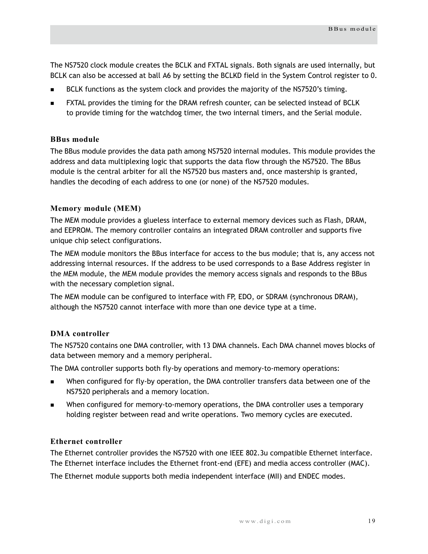The NS7520 clock module creates the BCLK and FXTAL signals. Both signals are used internally, but BCLK can also be accessed at ball A6 by setting the BCLKD field in the System Control register to 0.

- BCLK functions as the system clock and provides the majority of the NS7520's timing.
- FXTAL provides the timing for the DRAM refresh counter, can be selected instead of BCLK to provide timing for the watchdog timer, the two internal timers, and the Serial module.

### <span id="page-22-0"></span>**BBus module**

The BBus module provides the data path among NS7520 internal modules. This module provides the address and data multiplexing logic that supports the data flow through the NS7520. The BBus module is the central arbiter for all the NS7520 bus masters and, once mastership is granted, handles the decoding of each address to one (or none) of the NS7520 modules.

### <span id="page-22-1"></span>**Memory module (MEM)**

The MEM module provides a glueless interface to external memory devices such as Flash, DRAM, and EEPROM. The memory controller contains an integrated DRAM controller and supports five unique chip select configurations.

The MEM module monitors the BBus interface for access to the bus module; that is, any access not addressing internal resources. If the address to be used corresponds to a Base Address register in the MEM module, the MEM module provides the memory access signals and responds to the BBus with the necessary completion signal.

The MEM module can be configured to interface with FP, EDO, or SDRAM (synchronous DRAM), although the NS7520 cannot interface with more than one device type at a time.

# <span id="page-22-2"></span>**DMA controller**

The NS7520 contains one DMA controller, with 13 DMA channels. Each DMA channel moves blocks of data between memory and a memory peripheral.

The DMA controller supports both fly-by operations and memory-to-memory operations:

- When configured for fly-by operation, the DMA controller transfers data between one of the NS7520 peripherals and a memory location.
- When configured for memory-to-memory operations, the DMA controller uses a temporary holding register between read and write operations. Two memory cycles are executed.

#### <span id="page-22-3"></span>**Ethernet controller**

The Ethernet controller provides the NS7520 with one IEEE 802.3u compatible Ethernet interface. The Ethernet interface includes the Ethernet front-end (EFE) and media access controller (MAC).

The Ethernet module supports both media independent interface (MII) and ENDEC modes.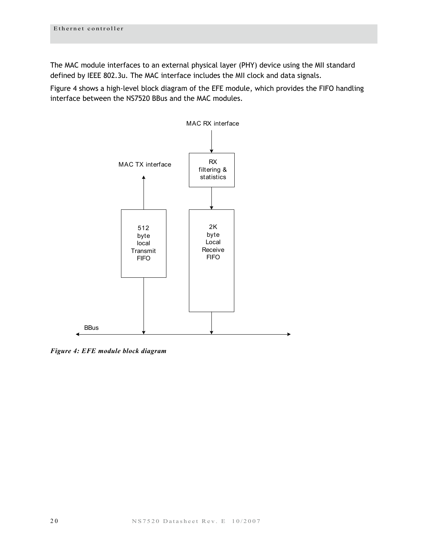The MAC module interfaces to an external physical layer (PHY) device using the MII standard defined by IEEE 802.3u. The MAC interface includes the MII clock and data signals.

[Figure 4](#page-23-0) shows a high-level block diagram of the EFE module, which provides the FIFO handling interface between the NS7520 BBus and the MAC modules.



<span id="page-23-0"></span>*Figure 4: EFE module block diagram*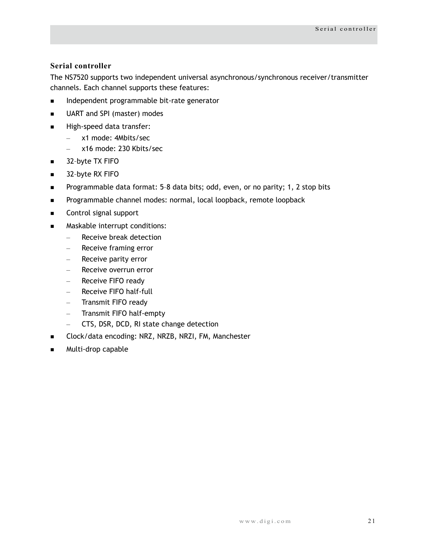# <span id="page-24-0"></span>**Serial controller**

The NS7520 supports two independent universal asynchronous/synchronous receiver/transmitter channels. Each channel supports these features:

- **Independent programmable bit-rate generator**
- **UART** and SPI (master) modes
- High-speed data transfer:
	- x1 mode: 4Mbits/sec
	- x16 mode: 230 Kbits/sec
- 32-byte TX FIFO
- 32-byte RX FIFO
- Programmable data format: 5-8 data bits; odd, even, or no parity; 1, 2 stop bits
- **Programmable channel modes: normal, local loopback, remote loopback**
- Control signal support
- **Maskable interrupt conditions:** 
	- Receive break detection
	- Receive framing error
	- Receive parity error
	- Receive overrun error
	- Receive FIFO ready
	- Receive FIFO half-full
	- Transmit FIFO ready
	- Transmit FIFO half-empty
	- CTS, DSR, DCD, RI state change detection
- **Clock/data encoding: NRZ, NRZB, NRZI, FM, Manchester**
- Multi-drop capable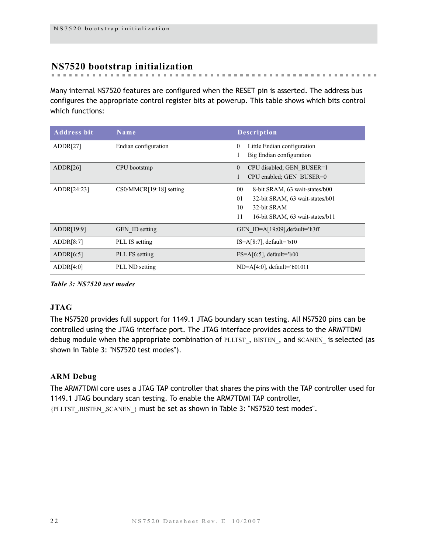# <span id="page-25-0"></span>**NS7520 bootstrap initialization**

Many internal NS7520 features are configured when the RESET pin is asserted. The address bus configures the appropriate control register bits at powerup. This table shows which bits control which functions:

| <b>Address bit</b> | Name                    | <b>Description</b>                          |  |  |
|--------------------|-------------------------|---------------------------------------------|--|--|
| ADDR[27]           | Endian configuration    | Little Endian configuration<br>$\mathbf{0}$ |  |  |
|                    |                         | Big Endian configuration                    |  |  |
| ADDR[26]           | CPU bootstrap           | $\mathbf{0}$<br>CPU disabled; GEN BUSER=1   |  |  |
|                    |                         | CPU enabled; GEN BUSER=0                    |  |  |
| ADDR[24:23]        | CS0/MMCR[19:18] setting | $00\,$<br>8-bit SRAM, 63 wait-states/b00    |  |  |
|                    |                         | 01<br>32-bit SRAM, 63 wait-states/b01       |  |  |
|                    |                         | 10<br>32-bit SRAM                           |  |  |
|                    |                         | 11<br>16-bit SRAM, 63 wait-states/b11       |  |  |
| ADDR[19:9]         | <b>GEN</b> ID setting   | GEN ID= $A[19:09]$ , default='h3ff          |  |  |
| ADDR[8:7]          | PLL IS setting          | $IS=A[8:7]$ , default='b10                  |  |  |
| ADDR[6:5]          | PLL FS setting          | $FS=A[6:5]$ , default='b00                  |  |  |
| ADDR[4:0]          | PLL ND setting          | $ND=A[4:0]$ , default='b01011               |  |  |

<span id="page-25-3"></span>*Table 3: NS7520 test modes*

# <span id="page-25-1"></span>**JTAG**

The NS7520 provides full support for 1149.1 JTAG boundary scan testing. All NS7520 pins can be controlled using the JTAG interface port. The JTAG interface provides access to the ARM7TDMI debug module when the appropriate combination of PLLTST, BISTEN, and SCANEN is selected (as shown in [Table 3: "NS7520 test modes"](#page-25-3)).

# <span id="page-25-2"></span>**ARM Debug**

The ARM7TDMI core uses a JTAG TAP controller that shares the pins with the TAP controller used for 1149.1 JTAG boundary scan testing. To enable the ARM7TDMI TAP controller, {PLLTST\_,BISTEN\_,SCANEN\_} must be set as shown in [Table 3: "NS7520 test modes"](#page-25-3).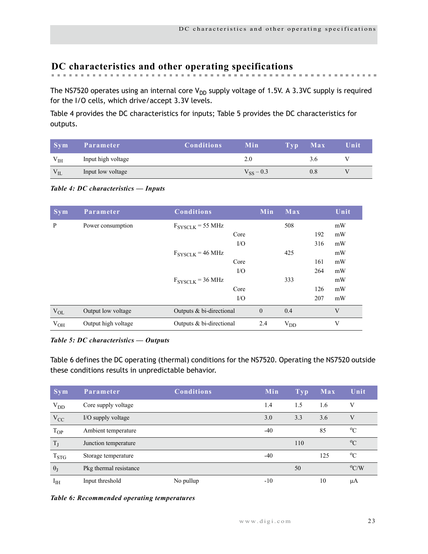# <span id="page-26-0"></span>**DC characteristics and other operating specifications**

The NS7520 operates using an internal core  $V_{DD}$  supply voltage of 1.5V. A 3.3VC supply is required for the I/O cells, which drive/accept 3.3V levels.

[Table 4 p](#page-26-1)rovides the DC characteristics for inputs; [Table 5](#page-26-3) provides the DC characteristics for outputs.

| Svm      | Parameter          | <b>Conditions</b> | Min            | Tvp. | Max | Unit |
|----------|--------------------|-------------------|----------------|------|-----|------|
| $V_{IH}$ | Input high voltage |                   | 2.0            |      | 3.0 |      |
| $V_{IL}$ | Input low voltage  |                   | $V_{SS} - 0.3$ |      | 0.8 |      |

<span id="page-26-1"></span>*Table 4: DC characteristics — Inputs*

| <b>Sym</b>   | Parameter           | <b>Conditions</b>                    | Min          | Max      |     | Unit |
|--------------|---------------------|--------------------------------------|--------------|----------|-----|------|
| P            | Power consumption   | $F_{\text{SYSCLK}}$ = 55 MHz         |              | 508      |     | mW   |
|              |                     | Core                                 |              |          | 192 | mW   |
|              |                     | $\rm LO$                             |              |          | 316 | mW   |
|              |                     | $F_{\text{SYSCLK}} = 46 \text{ MHz}$ |              | 425      |     | mW   |
|              |                     | Core                                 |              |          | 161 | mW   |
|              |                     | $\rm LO$                             |              |          | 264 | mW   |
|              |                     | $F_{\text{SYSCLK}}$ = 36 MHz         |              | 333      |     | mW   |
|              |                     | Core                                 |              |          | 126 | mW   |
|              |                     | $\rm I/O$                            |              |          | 207 | mW   |
| $\rm V_{OL}$ | Output low voltage  | Outputs & bi-directional             | $\mathbf{0}$ | 0.4      |     | V    |
| $V_{OH}$     | Output high voltage | Outputs & bi-directional             | 2.4          | $V_{DD}$ |     | V    |

#### <span id="page-26-3"></span>*Table 5: DC characteristics — Outputs*

[Table 6](#page-26-2) defines the DC operating (thermal) conditions for the NS7520. Operating the NS7520 outside these conditions results in unpredictable behavior.

| <b>Sym</b>               | Parameter              | <b>Conditions</b> | Min   | <b>Typ</b> | Max | Unit          |
|--------------------------|------------------------|-------------------|-------|------------|-----|---------------|
| $V_{DD}$                 | Core supply voltage    |                   | 1.4   | 1.5        | 1.6 | V             |
| $V_{CC}$                 | I/O supply voltage     |                   | 3.0   | 3.3        | 3.6 | V             |
| $T_{OP}$                 | Ambient temperature    |                   | $-40$ |            | 85  | $^{0}C$       |
| $T_{J}$                  | Junction temperature   |                   |       | 110        |     | $^{0}C$       |
| $T_{STG}$                | Storage temperature    |                   | $-40$ |            | 125 | $^{0}C$       |
| $\theta_{J}$             | Pkg thermal resistance |                   |       | 50         |     | $\rm ^{o}C/W$ |
| $\mathbf{I}_{\text{IH}}$ | Input threshold        | No pullup         | $-10$ |            | 10  | μA            |

<span id="page-26-2"></span>*Table 6: Recommended operating temperatures*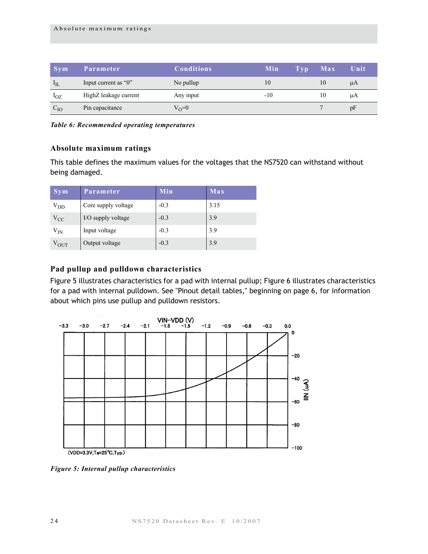| $\sim$ Svm      | <b>Parameter</b>      | <b>Conditions</b> | Min   | Tvp | Max | Unit |
|-----------------|-----------------------|-------------------|-------|-----|-----|------|
| $I_{\text{IL}}$ | Input current as "0"  | No pullup         | 10    |     | 10  | μA   |
| $1_{\rm OZ}$    | HighZ leakage current | Any input         | $-10$ |     | 10  | μA   |
| $C_{IO}$        | Pin capacitance       | $V_{\Omega} = 0$  |       |     |     | pF   |

*Table 6: Recommended operating temperatures*

#### <span id="page-27-0"></span>**Absolute maximum ratings**

This table defines the maximum values for the voltages that the NS7520 can withstand without being damaged.

| <b>Sym</b>    | Parameter           | Min    | Max  |
|---------------|---------------------|--------|------|
| $\rm{V}_{DD}$ | Core supply voltage | $-0.3$ | 3.15 |
| $V_{CC}$      | I/O supply voltage  | $-0.3$ | 3.9  |
| $\rm V_{IN}$  | Input voltage       | $-0.3$ | 3.9  |
| $\rm V_{OUT}$ | Output voltage      | $-0.3$ | 3.9  |

# <span id="page-27-1"></span>**Pad pullup and pulldown characteristics**

[Figure 5](#page-27-2) illustrates characteristics for a pad with internal pullup; [Figure 6](#page-28-2) illustrates characteristics for a pad with internal pulldown. See ["Pinout detail tables," beginning on page 6,](#page-9-0) for information about which pins use pullup and pulldown resistors.



<span id="page-27-2"></span>*Figure 5: Internal pullup characteristics*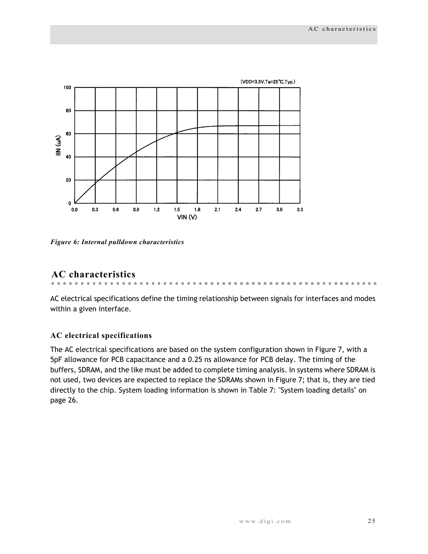

<span id="page-28-2"></span>*Figure 6: Internal pulldown characteristics*

# <span id="page-28-0"></span>**AC characteristics**

AC electrical specifications define the timing relationship between signals for interfaces and modes within a given interface.

**ALCOHOL: NO ALCOHOL: 1999** 

 $\mathbf{u}$  $\alpha$  . . . . . . . . . . . . . . . . .

 $\sim 10$  $\mathbf{m}$ **ALCOHOL:** 

m.

#### <span id="page-28-1"></span>**AC electrical specifications**

The AC electrical specifications are based on the system configuration shown in Figure 7, with a 5pF allowance for PCB capacitance and a 0.25 ns allowance for PCB delay. The timing of the buffers, SDRAM, and the like must be added to complete timing analysis. In systems where SDRAM is not used, two devices are expected to replace the SDRAMs shown in Figure 7; that is, they are tied directly to the chip. System loading information is shown in Table 7: "System loading details" on page 26.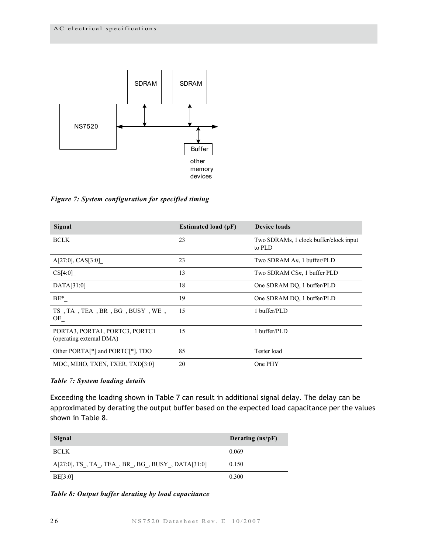

*Figure 7: System configuration for specified timing*

| Signal                                                     | <b>Estimated load (pF)</b> | <b>Device loads</b>                              |
|------------------------------------------------------------|----------------------------|--------------------------------------------------|
| <b>BCLK</b>                                                | 23                         | Two SDRAMs, 1 clock buffer/clock input<br>to PLD |
| A[27:0], CAS[3:0]                                          | 23                         | Two SDRAM An, 1 buffer/PLD                       |
| CS[4:0]                                                    | 13                         | Two SDRAM CSn, 1 buffer PLD                      |
| DATA[31:0]                                                 | 18                         | One SDRAM DQ, 1 buffer/PLD                       |
| $BE*$                                                      | 19                         | One SDRAM DQ, 1 buffer/PLD                       |
| $TS$ , $TA$ , $TEA$ , $BR$ , $BG$ , $BUSY$ , $WE$ ,<br>OE  | 15                         | 1 buffer/PLD                                     |
| PORTA3, PORTA1, PORTC3, PORTC1<br>(operating external DMA) | 15                         | 1 buffer/PLD                                     |
| Other PORTA <sup>[*]</sup> and PORTC <sup>[*]</sup> , TDO  | 85                         | Tester load                                      |
| MDC, MDIO, TXEN, TXER, TXD[3:0]                            | 20                         | One PHY                                          |

*Table 7: System loading details*

Exceeding the loading shown in Table 7 can result in additional signal delay. The delay can be approximated by derating the output buffer based on the expected load capacitance per the values shown in Table 8.

| Signal                                         | Derating $(ns/pF)$ |
|------------------------------------------------|--------------------|
| <b>BCLK</b>                                    | 0.069              |
| A[27:0], TS, TA, TEA, BR, BG, BUSY, DATA[31:0] | 0.150              |
| BE[3:0]                                        | 0.300              |

*Table 8: Output buffer derating by load capacitance*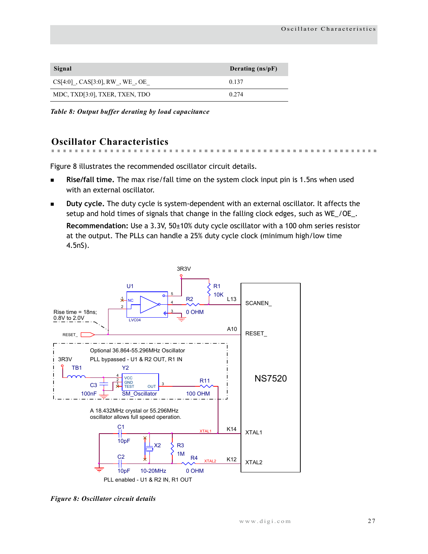| Signal                           | Derating (ns/pF) |
|----------------------------------|------------------|
| $CS[4:0]$ , CAS[3:0], RW, WE, OE | 0.137            |
| MDC, TXD[3:0], TXER, TXEN, TDO   | 0.274            |

*Table 8: Output buffer derating by load capacitance*

# <span id="page-30-0"></span>**Oscillator Characteristics**

Figure 8 illustrates the recommended oscillator circuit details.

- **Rise/fall time.** The max rise/fall time on the system clock input pin is 1.5ns when used with an external oscillator.
- **Duty cycle.** The duty cycle is system-dependent with an external oscillator. It affects the setup and hold times of signals that change in the falling clock edges, such as WE\_/OE\_.

**Recommendation:** Use a 3.3V, 50±10% duty cycle oscillator with a 100 ohm series resistor at the output. The PLLs can handle a 25% duty cycle clock (minimum high/low time 4.5nS).

 $\sim$  $\sim$ 



*Figure 8: Oscillator circuit details*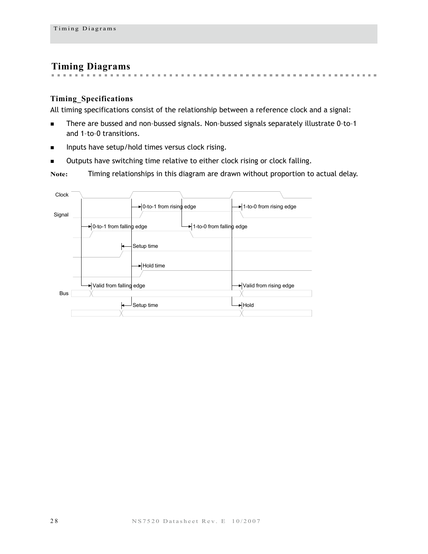# <span id="page-31-0"></span>**Timing Diagrams**

 $\mathbf{R} = \mathbf{R} \mathbf{R}$ 

#### <span id="page-31-1"></span>**Timing\_Specifications**

All timing specifications consist of the relationship between a reference clock and a signal:

 $\sim$  $\mathbf{m}$  $\sim$  $\sim$  $\mathbf{m}$ m.  $\sim$  $\mathbf{m}$  $\sim$  $\mathbf{m}$  $\sim$  $\mathbf{m}$  $\sim$  $\mathbb{R}^n$  $\sim$  $\mathbb{R}^d$  $\mathbf{m}$  $\mathbb{R}^n$ 

the contract of the contract of the

- There are bussed and non-bussed signals. Non-bussed signals separately illustrate 0-to-1 and 1–to–0 transitions.
- **Inputs have setup/hold times versus clock rising.**
- **Dutputs have switching time relative to either clock rising or clock falling.**

**Note:** Timing relationships in this diagram are drawn without proportion to actual delay.

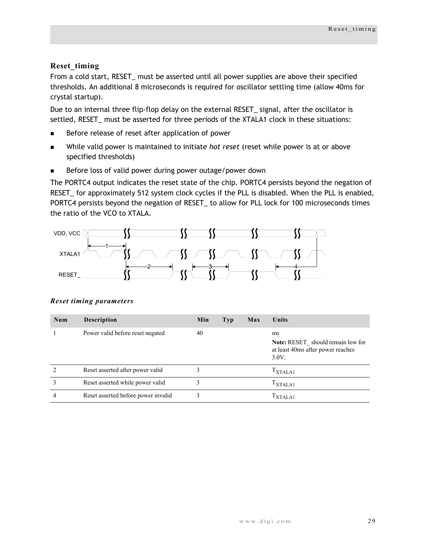# <span id="page-32-0"></span>**Reset\_timing**

From a cold start, RESET\_ must be asserted until all power supplies are above their specified thresholds. An additional 8 microseconds is required for oscillator settling time (allow 40ms for crystal startup).

Due to an internal three flip-flop delay on the external RESET\_ signal, after the oscillator is settled, RESET\_ must be asserted for three periods of the XTALA1 clock in these situations:

- Before release of reset after application of power
- While valid power is maintained to initiate *hot reset* (reset while power is at or above specified thresholds)
- Before loss of valid power during power outage/power down

The PORTC4 output indicates the reset state of the chip. PORTC4 persists beyond the negation of RESET\_ for approximately 512 system clock cycles if the PLL is disabled. When the PLL is enabled, PORTC4 persists beyond the negation of RESET\_ to allow for PLL lock for 100 microseconds times the ratio of the VCO to XTALA.



| Num | <b>Description</b>                  | Min | <b>Typ</b> | Max | Units                                                                                        |
|-----|-------------------------------------|-----|------------|-----|----------------------------------------------------------------------------------------------|
|     | Power valid before reset negated    | 40  |            |     | ms<br><b>Note:</b> RESET should remain low for<br>at least 40ms after power reaches<br>3.0V. |
|     | Reset asserted after power valid    |     |            |     | $T_{\text{XTALA1}}$                                                                          |
|     | Reset asserted while power valid    |     |            |     | T <sub>XTALA1</sub>                                                                          |
| 4   | Reset asserted before power invalid | 3   |            |     | $1$ XTALA1                                                                                   |

#### *Reset timing parameters*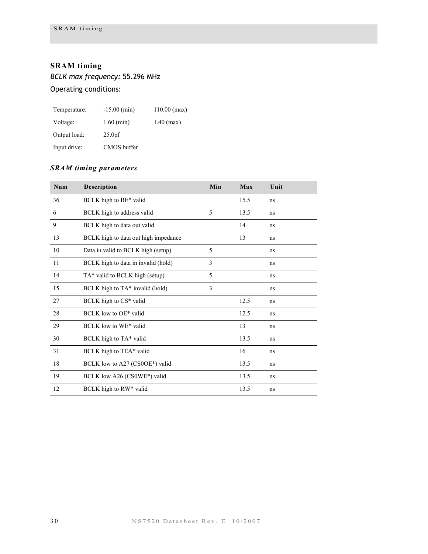# <span id="page-33-0"></span>**SRAM timing**

*BCLK max frequency:* 55.296 MHz Operating conditions:

| Temperature: | $-15.00$ (min)     | $110.00$ (max) |
|--------------|--------------------|----------------|
| Voltage:     | $1.60$ (min)       | $1.40$ (max)   |
| Output load: | 25.0 <sub>pf</sub> |                |
| Input drive: | CMOS buffer        |                |

# *SRAM timing parameters*

| Num | Description                          | Min            | Max  | Unit |
|-----|--------------------------------------|----------------|------|------|
| 36  | BCLK high to BE* valid               |                | 15.5 | ns   |
| 6   | BCLK high to address valid           | 5              | 13.5 | ns   |
| 9   | BCLK high to data out valid          |                | 14   | ns   |
| 13  | BCLK high to data out high impedance |                | 13   | ns   |
| 10  | Data in valid to BCLK high (setup)   | 5              |      | ns   |
| 11  | BCLK high to data in invalid (hold)  | $\overline{3}$ |      | ns   |
| 14  | TA* valid to BCLK high (setup)       | 5              |      | ns   |
| 15  | BCLK high to TA* invalid (hold)      | 3              |      | ns   |
| 27  | BCLK high to CS* valid               |                | 12.5 | ns   |
| 28  | BCLK low to OE* valid                |                | 12.5 | ns   |
| 29  | BCLK low to WE* valid                |                | 13   | ns   |
| 30  | BCLK high to TA* valid               |                | 13.5 | ns   |
| 31  | BCLK high to TEA* valid              |                | 16   | ns   |
| 18  | BCLK low to A27 (CS0OE*) valid       |                | 13.5 | ns   |
| 19  | BCLK low A26 (CS0WE*) valid          |                | 13.5 | ns   |
| 12  | BCLK high to RW* valid               |                | 13.5 | ns   |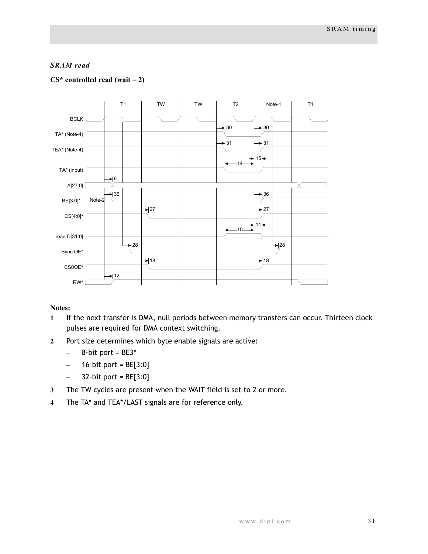#### *SRAM read*

#### **CS\* controlled read (wait = 2)**



- **1** If the next transfer is DMA, null periods between memory transfers can occur. Thirteen clock pulses are required for DMA context switching.
- **2** Port size determines which byte enable signals are active:
	- $-$  8-bit port = BE3\*
	- $-$  16-bit port = BE[3:0]
	- $-$  32-bit port = BE[3:0]
- **3** The TW cycles are present when the WAIT field is set to 2 or more.
- **4** The TA\* and TEA\*/LAST signals are for reference only.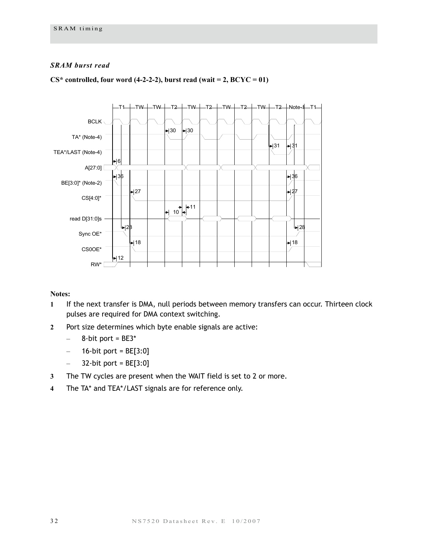#### *SRAM burst read*



#### $CS^*$  controlled, four word (4-2-2-2), burst read (wait = 2,  $BCYC = 01$ )

- **1** If the next transfer is DMA, null periods between memory transfers can occur. Thirteen clock pulses are required for DMA context switching.
- **2** Port size determines which byte enable signals are active:
	- $-$  8-bit port = BE3\*
	- $-$  16-bit port = BE[3:0]
	- $-$  32-bit port = BE[3:0]
- **3** The TW cycles are present when the WAIT field is set to 2 or more.
- **4** The TA\* and TEA\*/LAST signals are for reference only.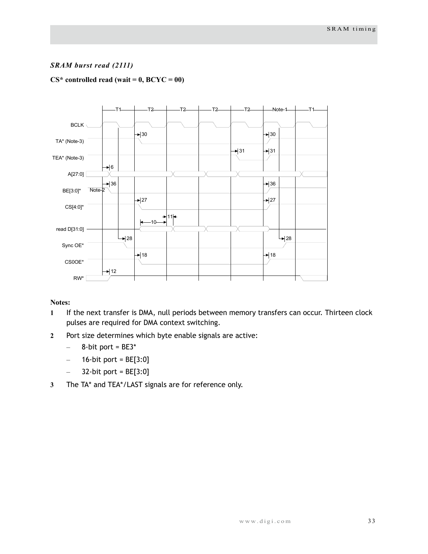### *SRAM burst read (2111)*

#### **CS\* controlled read (wait = 0, BCYC = 00)**



- **1** If the next transfer is DMA, null periods between memory transfers can occur. Thirteen clock pulses are required for DMA context switching.
- **2** Port size determines which byte enable signals are active:
	- $-$  8-bit port = BE3\*
	- $-$  16-bit port = BE[3:0]
	- $-$  32-bit port = BE[3:0]
- **3** The TA\* and TEA\*/LAST signals are for reference only.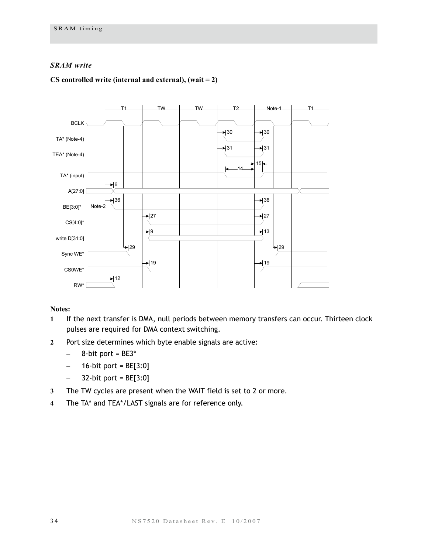#### *SRAM write*

#### **CS controlled write (internal and external), (wait = 2)**



- **1** If the next transfer is DMA, null periods between memory transfers can occur. Thirteen clock pulses are required for DMA context switching.
- **2** Port size determines which byte enable signals are active:
	- $-$  8-bit port = BE3\*
	- $-$  16-bit port = BE[3:0]
	- $-$  32-bit port = BE[3:0]
- **3** The TW cycles are present when the WAIT field is set to 2 or more.
- **4** The TA\* and TEA\*/LAST signals are for reference only.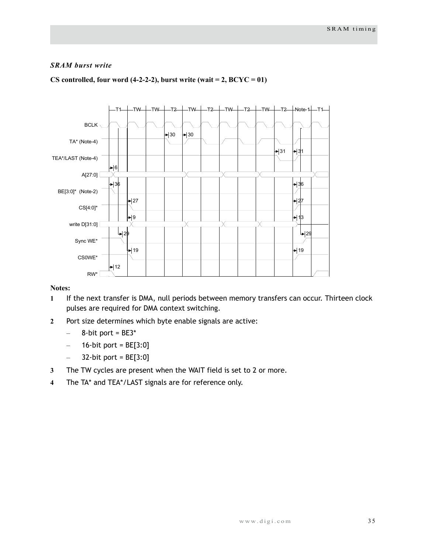#### *SRAM burst write*



#### CS controlled, four word  $(4-2-2-2)$ , burst write  $(wait = 2, BCYC = 01)$

- **1** If the next transfer is DMA, null periods between memory transfers can occur. Thirteen clock pulses are required for DMA context switching.
- **2** Port size determines which byte enable signals are active:
	- $-$  8-bit port = BE3\*
	- $-$  16-bit port = BE[3:0]
	- $-$  32-bit port = BE[3:0]
- **3** The TW cycles are present when the WAIT field is set to 2 or more.
- **4** The TA\* and TEA\*/LAST signals are for reference only.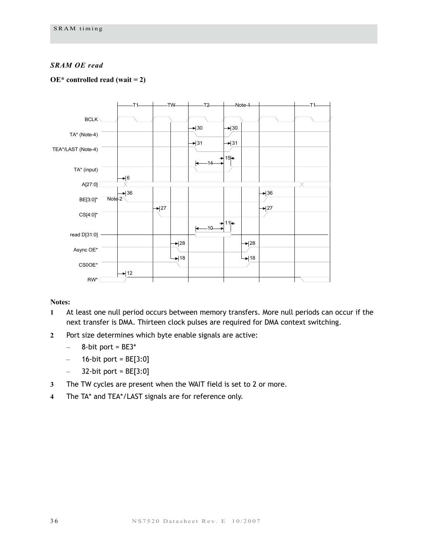#### *SRAM OE read*

#### **OE\* controlled read (wait = 2)**



- **1** At least one null period occurs between memory transfers. More null periods can occur if the next transfer is DMA. Thirteen clock pulses are required for DMA context switching.
- **2** Port size determines which byte enable signals are active:
	- $-$  8-bit port = BE3\*
	- $-$  16-bit port = BE[3:0]
	- $-$  32-bit port = BE[3:0]
- **3** The TW cycles are present when the WAIT field is set to 2 or more.
- **4** The TA\* and TEA\*/LAST signals are for reference only.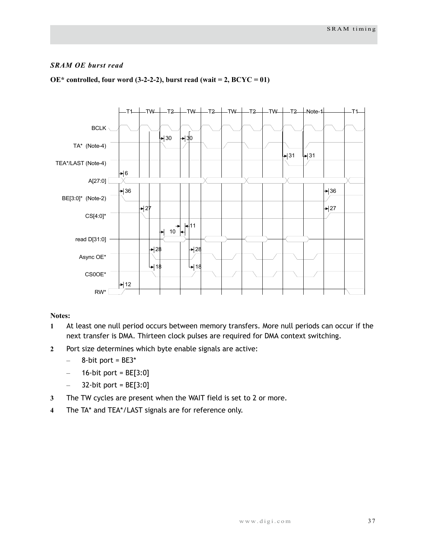#### *SRAM OE burst read*



#### $OE*$  controlled, four word (3-2-2-2), burst read (wait = 2,  $BCYC = 01$ )

- **1** At least one null period occurs between memory transfers. More null periods can occur if the next transfer is DMA. Thirteen clock pulses are required for DMA context switching.
- **2** Port size determines which byte enable signals are active:
	- $-$  8-bit port = BE3\*
	- $-$  16-bit port = BE[3:0]
	- $-$  32-bit port = BE[3:0]
- **3** The TW cycles are present when the WAIT field is set to 2 or more.
- **4** The TA\* and TEA\*/LAST signals are for reference only.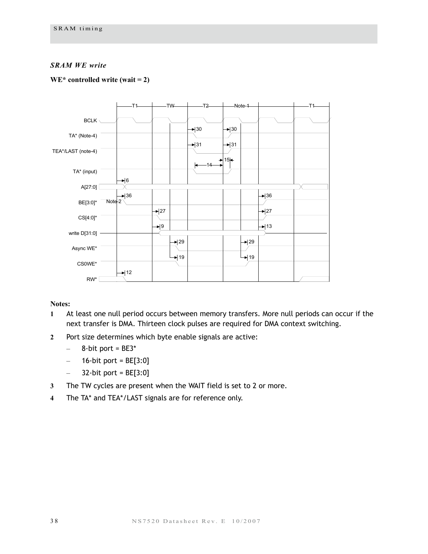#### *SRAM WE write*

#### **WE\* controlled write (wait = 2)**



- **1** At least one null period occurs between memory transfers. More null periods can occur if the next transfer is DMA. Thirteen clock pulses are required for DMA context switching.
- **2** Port size determines which byte enable signals are active:
	- $-$  8-bit port = BE3\*
	- $-$  16-bit port = BE[3:0]
	- $-$  32-bit port = BE[3:0]
- **3** The TW cycles are present when the WAIT field is set to 2 or more.
- **4** The TA\* and TEA\*/LAST signals are for reference only.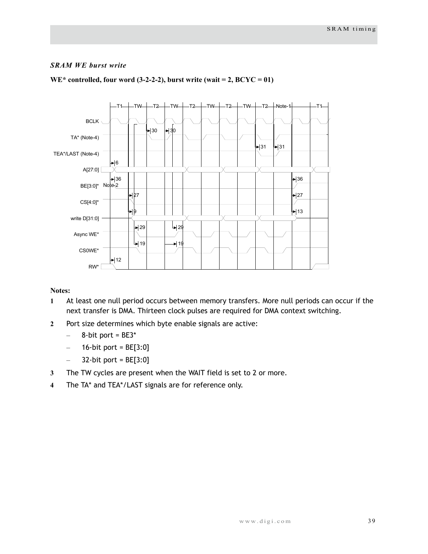#### *SRAM WE burst write*



#### $WE^*$  controlled, four word (3-2-2-2), burst write (wait = 2,  $BCYC = 01$ )

- **1** At least one null period occurs between memory transfers. More null periods can occur if the next transfer is DMA. Thirteen clock pulses are required for DMA context switching.
- **2** Port size determines which byte enable signals are active:
	- $-$  8-bit port = BE3\*
	- $-$  16-bit port = BE[3:0]
	- $-$  32-bit port = BE[3:0]
- **3** The TW cycles are present when the WAIT field is set to 2 or more.
- **4** The TA\* and TEA\*/LAST signals are for reference only.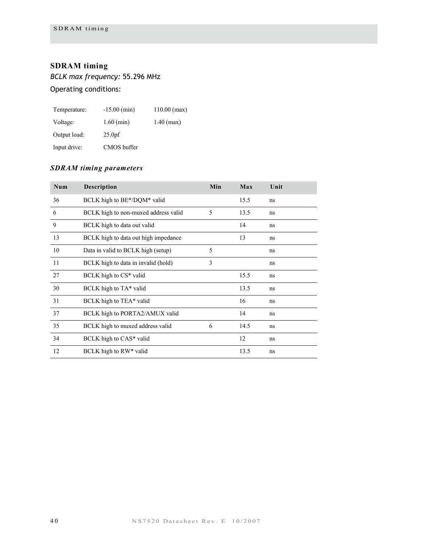# <span id="page-43-0"></span>**SDRAM timing**

*BCLK max frequency:* 55.296 MHz

Operating conditions:

| Temperature: | $-15.00$ (min)     | $110.00$ (max) |
|--------------|--------------------|----------------|
| Voltage:     | $1.60$ (min)       | $1.40$ (max)   |
| Output load: | 25.0 <sub>pf</sub> |                |
| Input drive: | CMOS buffer        |                |

# *SDRAM timing parameters*

| Num | Description                          | Min | Max  | Unit |
|-----|--------------------------------------|-----|------|------|
| 36  | BCLK high to BE*/DQM* valid          |     | 15.5 | ns   |
| 6   | BCLK high to non-muxed address valid | 5   | 13.5 | ns   |
| 9   | BCLK high to data out valid          |     | 14   | ns   |
| 13  | BCLK high to data out high impedance |     | 13   | ns   |
| 10  | Data in valid to BCLK high (setup)   | 5   |      | ns   |
| 11  | BCLK high to data in invalid (hold)  | 3   |      | ns   |
| 27  | BCLK high to CS* valid               |     | 15.5 | ns   |
| 30  | BCLK high to TA* valid               |     | 13.5 | ns   |
| 31  | BCLK high to TEA* valid              |     | 16   | ns   |
| 37  | BCLK high to PORTA2/AMUX valid       |     | 14   | ns   |
| 35  | BCLK high to muxed address valid     | 6   | 14.5 | ns   |
| 34  | BCLK high to CAS* valid              |     | 12   | ns   |
| 12  | BCLK high to RW* valid               |     | 13.5 | ns   |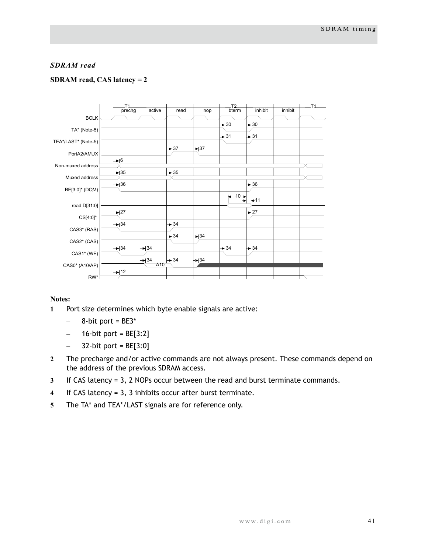#### *SDRAM read*

#### **SDRAM read, CAS latency = 2**



- **1** Port size determines which byte enable signals are active:
	- $-$  8-bit port = BE3\*
	- $-$  16-bit port = BE[3:2]
	- $-$  32-bit port = BE[3:0]
- **2** The precharge and/or active commands are not always present. These commands depend on the address of the previous SDRAM access.
- **3** If CAS latency = 3, 2 NOPs occur between the read and burst terminate commands.
- **4** If CAS latency = 3, 3 inhibits occur after burst terminate.
- **5** The TA\* and TEA\*/LAST signals are for reference only.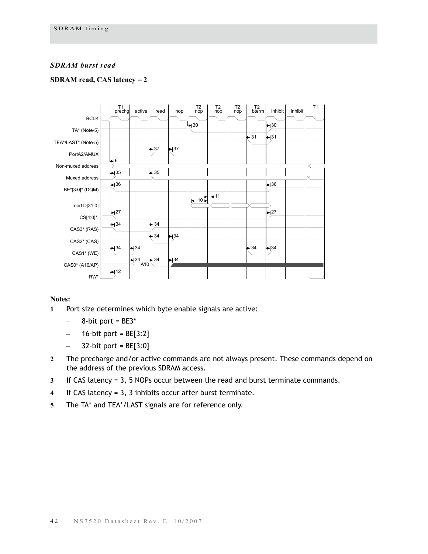#### *SDRAM burst read*

#### **SDRAM read, CAS latency = 2**



- **1** Port size determines which byte enable signals are active:
	- $-$  8-bit port = BE3\*
	- $-$  16-bit port = BE[3:2]
	- $-$  32-bit port = BE[3:0]
- **2** The precharge and/or active commands are not always present. These commands depend on the address of the previous SDRAM access.
- **3** If CAS latency = 3, 5 NOPs occur between the read and burst terminate commands.
- **4** If CAS latency = 3, 3 inhibits occur after burst terminate.
- **5** The TA\* and TEA\*/LAST signals are for reference only.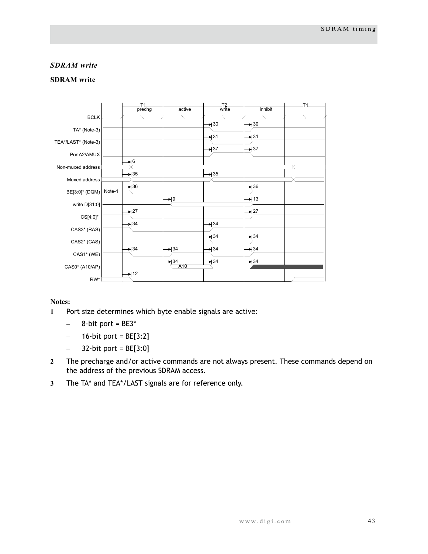#### *SDRAM write*

#### **SDRAM write**



- **1** Port size determines which byte enable signals are active:
	- $-$  8-bit port = BE3\*
	- $-$  16-bit port = BE[3:2]
	- $-$  32-bit port = BE[3:0]
- **2** The precharge and/or active commands are not always present. These commands depend on the address of the previous SDRAM access.
- **3** The TA\* and TEA\*/LAST signals are for reference only.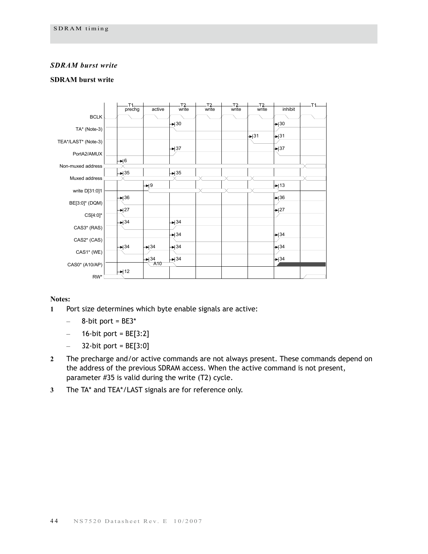#### *SDRAM burst write*

#### **SDRAM burst write**



- **1** Port size determines which byte enable signals are active:
	- $-$  8-bit port = BE3\*
	- $-$  16-bit port = BE[3:2]
	- $-$  32-bit port = BE[3:0]
- **2** The precharge and/or active commands are not always present. These commands depend on the address of the previous SDRAM access. When the active command is not present, parameter #35 is valid during the write (T2) cycle.
- **3** The TA\* and TEA\*/LAST signals are for reference only.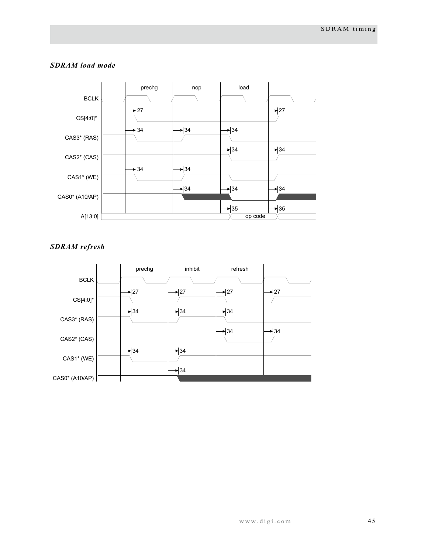

#### *SDRAM load mode*



### *SDRAM refresh*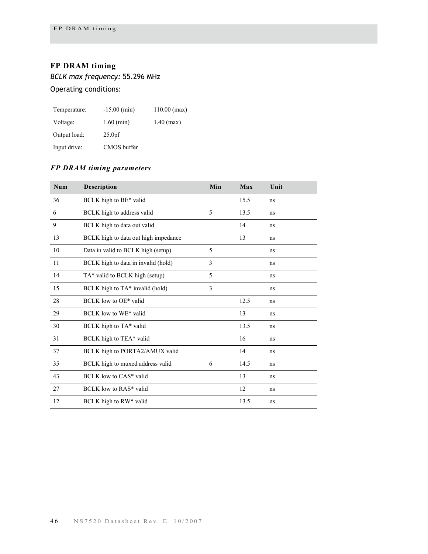# <span id="page-49-0"></span>**FP DRAM timing**

*BCLK max frequency:* 55.296 MHz

Operating conditions:

| Temperature: | $-15.00$ (min)     | $110.00$ (max) |
|--------------|--------------------|----------------|
| Voltage:     | $1.60$ (min)       | $1.40$ (max)   |
| Output load: | 25.0 <sub>pf</sub> |                |
| Input drive: | CMOS buffer        |                |

# *FP DRAM timing parameters*

| Num | Description                          | Min | Max  | Unit |
|-----|--------------------------------------|-----|------|------|
| 36  | BCLK high to BE* valid               |     | 15.5 | ns   |
| 6   | BCLK high to address valid           | 5   | 13.5 | ns   |
| 9   | BCLK high to data out valid          |     | 14   | ns   |
| 13  | BCLK high to data out high impedance |     | 13   | ns   |
| 10  | Data in valid to BCLK high (setup)   | 5   |      | ns   |
| 11  | BCLK high to data in invalid (hold)  | 3   |      | ns   |
| 14  | TA* valid to BCLK high (setup)       | 5   |      | ns   |
| 15  | BCLK high to TA* invalid (hold)      | 3   |      | ns   |
| 28  | BCLK low to OE* valid                |     | 12.5 | ns   |
| 29  | BCLK low to WE* valid                |     | 13   | ns   |
| 30  | BCLK high to TA* valid               |     | 13.5 | ns   |
| 31  | BCLK high to TEA* valid              |     | 16   | ns   |
| 37  | BCLK high to PORTA2/AMUX valid       |     | 14   | ns   |
| 35  | BCLK high to muxed address valid     | 6   | 14.5 | ns   |
| 43  | BCLK low to CAS* valid               |     | 13   | ns   |
| 27  | BCLK low to RAS* valid               |     | 12   | ns   |
| 12  | BCLK high to RW* valid               |     | 13.5 | ns   |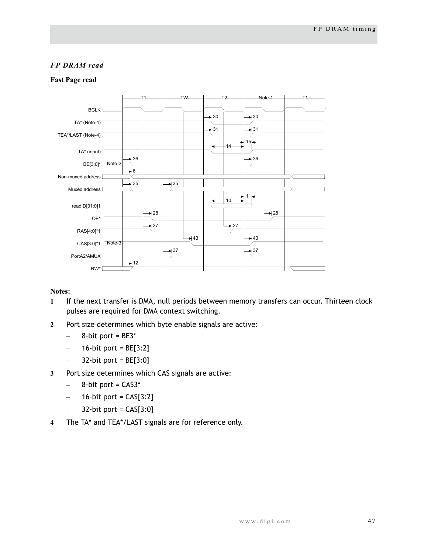#### *FP DRAM read*

#### **Fast Page read**



- **1** If the next transfer is DMA, null periods between memory transfers can occur. Thirteen clock pulses are required for DMA context switching.
- **2** Port size determines which byte enable signals are active:
	- $-$  8-bit port = BE3\*
	- $-$  16-bit port = BE[3:2]
	- $-$  32-bit port = BE[3:0]
- **3** Port size determines which CAS signals are active:
	- $-$  8-bit port =  $CAS3*$
	- $-$  16-bit port = CAS[3:2]
	- $-$  32-bit port = CAS[3:0]
- **4** The TA\* and TEA\*/LAST signals are for reference only.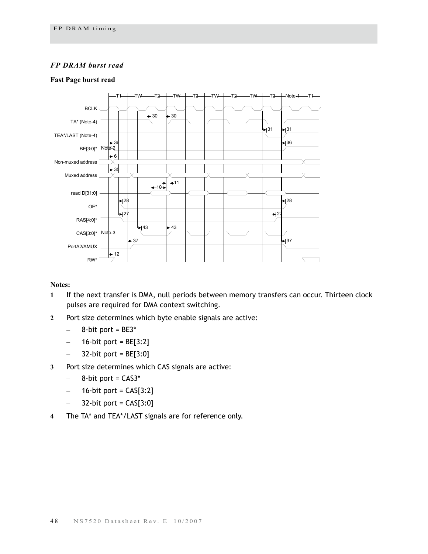#### *FP DRAM burst read*

#### **Fast Page burst read**



- **1** If the next transfer is DMA, null periods between memory transfers can occur. Thirteen clock pulses are required for DMA context switching.
- **2** Port size determines which byte enable signals are active:
	- $-$  8-bit port = BE3\*
	- $-$  16-bit port = BE[3:2]
	- 32-bit port =  $BE[3:0]$
- **3** Port size determines which CAS signals are active:
	- $-$  8-bit port =  $CAS3*$
	- $-$  16-bit port = CAS[3:2]
	- $-$  32-bit port = CAS[3:0]
- **4** The TA\* and TEA\*/LAST signals are for reference only.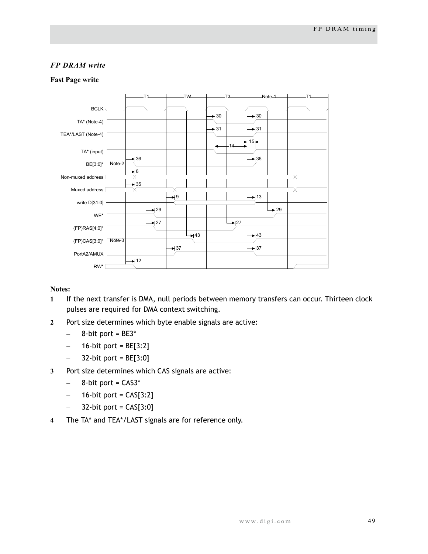#### *FP DRAM write*

#### **Fast Page write**



- **1** If the next transfer is DMA, null periods between memory transfers can occur. Thirteen clock pulses are required for DMA context switching.
- **2** Port size determines which byte enable signals are active:
	- $-$  8-bit port = BE3\*
	- $-$  16-bit port = BE[3:2]
	- $-$  32-bit port = BE[3:0]
- **3** Port size determines which CAS signals are active:
	- $-$  8-bit port =  $CAS3*$
	- $-$  16-bit port = CAS[3:2]
	- $-$  32-bit port = CAS[3:0]
- **4** The TA\* and TEA\*/LAST signals are for reference only.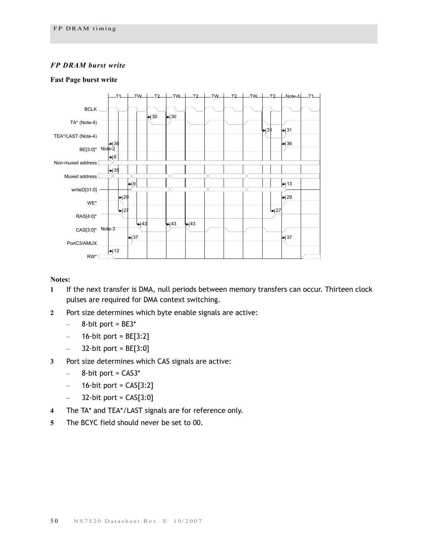#### *FP DRAM burst write*

#### **Fast Page burst write**



#### **Notes:**

- **1** If the next transfer is DMA, null periods between memory transfers can occur. Thirteen clock pulses are required for DMA context switching.
- **2** Port size determines which byte enable signals are active:
	- $-$  8-bit port = BE3\*
	- $-$  16-bit port = BE[3:2]
	- $-$  32-bit port = BE[3:0]

#### **3** Port size determines which CAS signals are active:

- $-$  8-bit port = CAS3\*
- $-$  16-bit port = CAS[3:2]
- $-$  32-bit port = CAS[3:0]
- **4** The TA\* and TEA\*/LAST signals are for reference only.
- **5** The BCYC field should never be set to 00.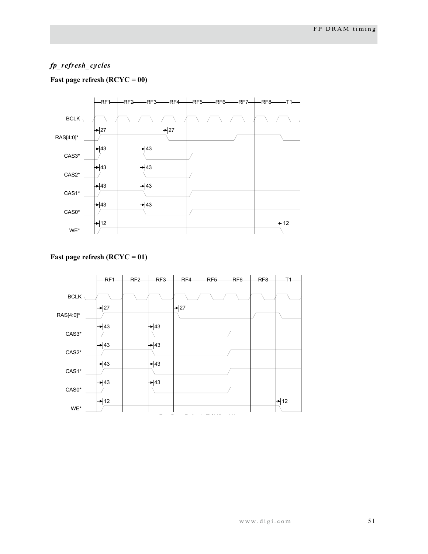# *fp\_refresh\_cycles*

#### **Fast page refresh (RCYC = 00)**



#### **Fast page refresh (RCYC = 01)**

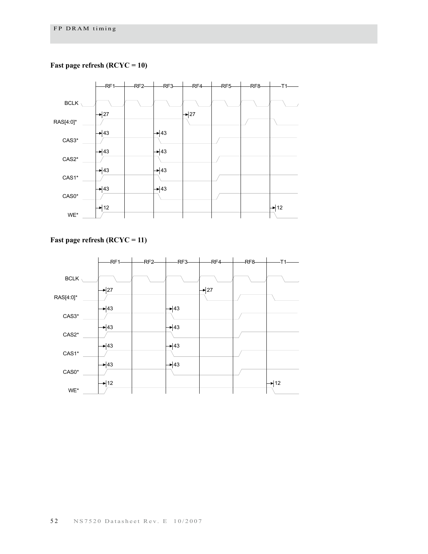### **Fast page refresh (RCYC = 10)**



# **Fast page refresh (RCYC = 11)**

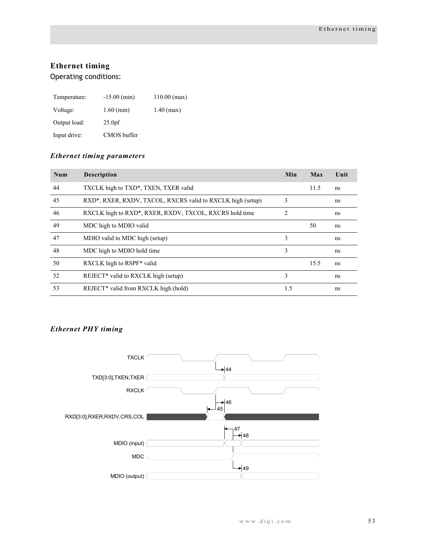# <span id="page-56-0"></span>**Ethernet timing**

Operating conditions:

| Temperature: | $-15.00$ (min)     | $110.00$ (max) |
|--------------|--------------------|----------------|
| Voltage:     | $1.60$ (min)       | $1.40$ (max)   |
| Output load: | 25.0 <sub>pf</sub> |                |
| Input drive: | CMOS buffer        |                |

#### *Ethernet timing parameters*

| Num | <b>Description</b>                                         | Min | Max  | Unit |
|-----|------------------------------------------------------------|-----|------|------|
| 44  | TXCLK high to TXD*, TXEN, TXER valid                       |     | 11.5 | ns   |
| 45  | RXD*, RXER, RXDV, TXCOL, RXCRS valid to RXCLK high (setup) | 3   |      | ns   |
| 46  | RXCLK high to RXD*, RXER, RXDV, TXCOL, RXCRS hold time     | 2   |      | ns   |
| 49  | MDC high to MDIO valid                                     |     | 50   | ns   |
| 47  | MDIO valid to MDC high (setup)                             | 3   |      | ns   |
| 48  | MDC high to MDIO hold time                                 | 3   |      | ns   |
| 50  | RXCLK high to RSPF* valid                                  |     | 15.5 | ns   |
| 52  | REJECT <sup>*</sup> valid to RXCLK high (setup)            | 3   |      | ns   |
| 53  | REJECT <sup>*</sup> valid from RXCLK high (hold)           | 1.5 |      | ns   |

# *Ethernet PHY timing*

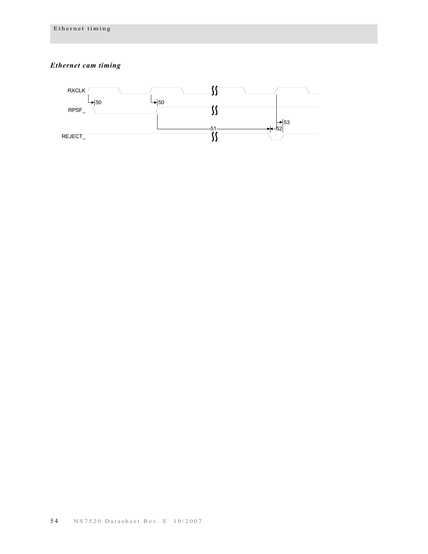# *Ethernet cam timing*

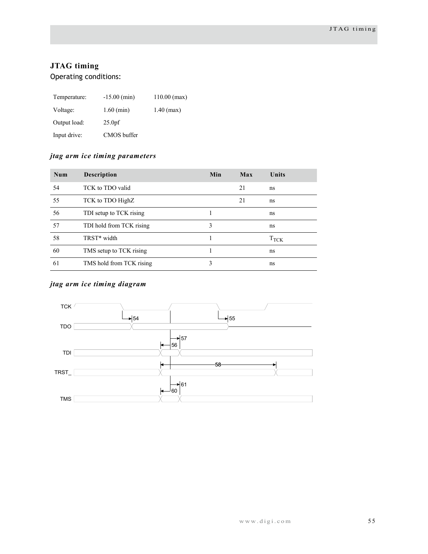# <span id="page-58-0"></span>**JTAG timing**

Operating conditions:

| Temperature: | $-15.00$ (min)     | $110.00$ (max) |
|--------------|--------------------|----------------|
| Voltage:     | $1.60$ (min)       | $1.40$ (max)   |
| Output load: | 25.0 <sub>pf</sub> |                |
| Input drive: | CMOS buffer        |                |

# *jtag arm ice timing parameters*

| Num | <b>Description</b>       | Min | Max | Units         |
|-----|--------------------------|-----|-----|---------------|
| 54  | TCK to TDO valid         |     | 21  | ns            |
| 55  | TCK to TDO HighZ         |     | 21  | ns            |
| 56  | TDI setup to TCK rising  |     |     | ns            |
| 57  | TDI hold from TCK rising | 3   |     | ns            |
| 58  | TRST* width              |     |     | $T_{\rm TCK}$ |
| 60  | TMS setup to TCK rising  |     |     | ns            |
| 61  | TMS hold from TCK rising | 3   |     | ns            |

# *jtag arm ice timing diagram*

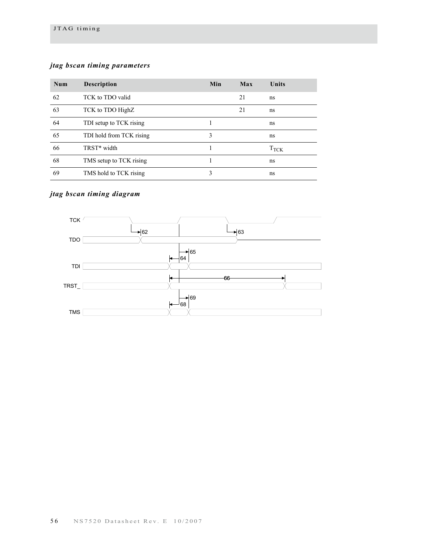### *jtag bscan timing parameters*

| Num | <b>Description</b>       | Min | Max | Units         |
|-----|--------------------------|-----|-----|---------------|
| 62  | TCK to TDO valid         |     | 21  | ns            |
| 63  | TCK to TDO HighZ         |     | 21  | ns            |
| 64  | TDI setup to TCK rising  |     |     | ns            |
| 65  | TDI hold from TCK rising | 3   |     | ns            |
| 66  | TRST* width              |     |     | $T_{\rm TCK}$ |
| 68  | TMS setup to TCK rising  |     |     | ns            |
| 69  | TMS hold to TCK rising   | 3   |     | ns            |

# *jtag bscan timing diagram*

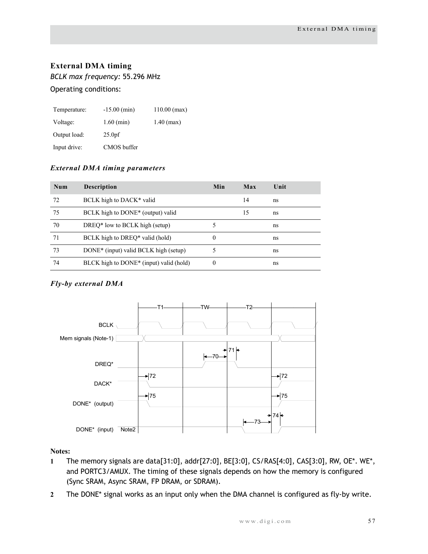# <span id="page-60-0"></span>**External DMA timing**

*BCLK max frequency:* 55.296 MHz

#### Operating conditions:

| Temperature: | $-15.00$ (min)     | $110.00$ (max) |
|--------------|--------------------|----------------|
| Voltage:     | $1.60$ (min)       | $1.40$ (max)   |
| Output load: | 25.0 <sub>pf</sub> |                |
| Input drive: | CMOS buffer        |                |

### *External DMA timing parameters*

| Num | <b>Description</b>                                  | Min      | Max | Unit |
|-----|-----------------------------------------------------|----------|-----|------|
| 72  | BCLK high to DACK* valid                            |          | 14  | ns   |
| 75  | BCLK high to DONE <sup>*</sup> (output) valid       |          | 15  | ns   |
| 70  | DREQ* low to BCLK high (setup)                      |          |     | ns   |
| 71  | BCLK high to DREQ* valid (hold)                     | 0        |     | ns   |
| 73  | DONE* (input) valid BCLK high (setup)               |          |     | ns   |
| 74  | BLCK high to DONE <sup>*</sup> (input) valid (hold) | $\theta$ |     | ns   |

# *Fly-by external DMA*



- **1** The memory signals are data[31:0], addr[27:0], BE[3:0], CS/RAS[4:0], CAS[3:0], RW, OE\*. WE\*, and PORTC3/AMUX. The timing of these signals depends on how the memory is configured (Sync SRAM, Async SRAM, FP DRAM, or SDRAM).
- **2** The DONE\* signal works as an input only when the DMA channel is configured as fly-by write.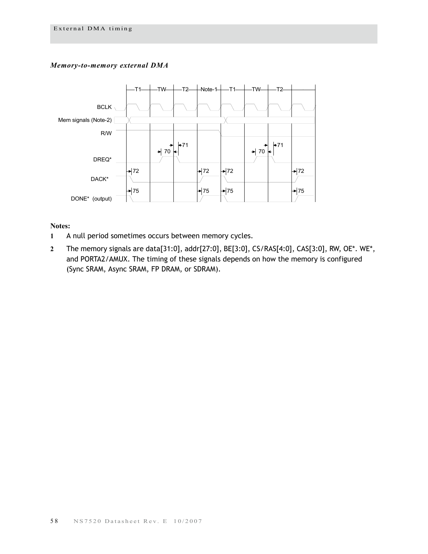#### *Memory-to-memory external DMA*



- **1** A null period sometimes occurs between memory cycles.
- **2** The memory signals are data[31:0], addr[27:0], BE[3:0], CS/RAS[4:0], CAS[3:0], RW, OE\*. WE\*, and PORTA2/AMUX. The timing of these signals depends on how the memory is configured (Sync SRAM, Async SRAM, FP DRAM, or SDRAM).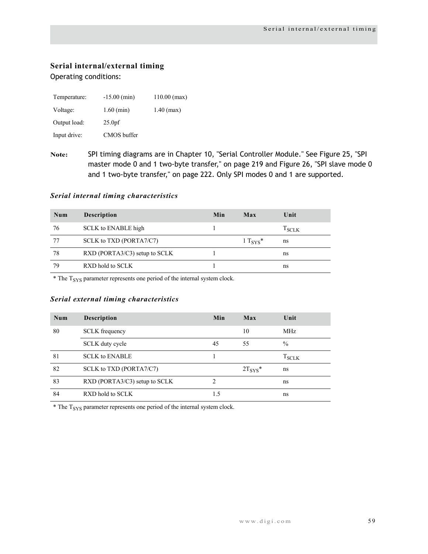# <span id="page-62-0"></span>**Serial internal/external timing**

Operating conditions:

| Temperature: | $-15.00$ (min)     | $110.00$ (max) |
|--------------|--------------------|----------------|
| Voltage:     | $1.60$ (min)       | $1.40$ (max)   |
| Output load: | 25.0 <sub>pf</sub> |                |
| Input drive: | CMOS buffer        |                |

**Note:** SPI timing diagrams are in Chapter 10, "Serial Controller Module." See Figure 25, "SPI master mode 0 and 1 two-byte transfer," on page 219 and Figure 26, "SPI slave mode 0 and 1 two-byte transfer," on page 222. Only SPI modes 0 and 1 are supported.

#### *Serial internal timing characteristics*

| Num | <b>Description</b>                          | Min | Max              | Unit           |
|-----|---------------------------------------------|-----|------------------|----------------|
| 76  | SCLK to ENABLE high                         |     |                  | $T_{\rm SCLK}$ |
| 77  | SCLK to TXD (PORTA7/C7)                     |     | $1 T_{\rm{SYS}}$ | ns             |
| 78  | $\overline{R}$ XD (PORTA3/C3) setup to SCLK |     |                  | ns             |
| 79  | RXD hold to SCLK                            |     |                  | ns             |

 $*$  The  $T<sub>SYS</sub>$  parameter represents one period of the internal system clock.

#### *Serial external timing characteristics*

| Num | <b>Description</b>            | Min | Max               | Unit           |
|-----|-------------------------------|-----|-------------------|----------------|
| 80  | <b>SCLK</b> frequency         |     | 10                | MHz            |
|     | SCLK duty cycle               | 45  | 55                | $\frac{0}{0}$  |
| 81  | <b>SCLK to ENABLE</b>         |     |                   | $T_{\rm SCLR}$ |
| 82  | SCLK to TXD (PORTA7/C7)       |     | $2T_{\rm{SYS}}$ * | ns             |
| 83  | RXD (PORTA3/C3) setup to SCLK | 2   |                   | ns             |
| 84  | RXD hold to SCLK              | 1.5 |                   | ns             |

 $*$  The  $T<sub>SYS</sub>$  parameter represents one period of the internal system clock.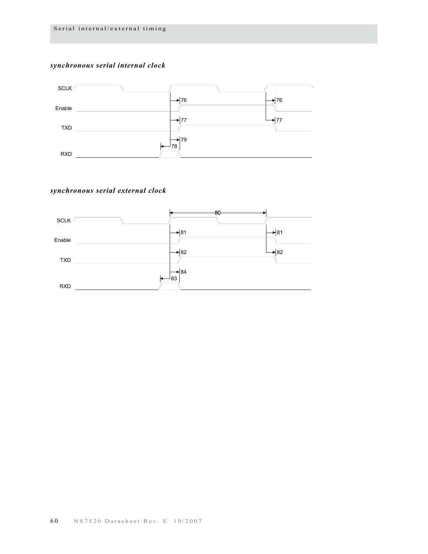#### *synchronous serial internal clock*



#### *synchronous serial external clock*

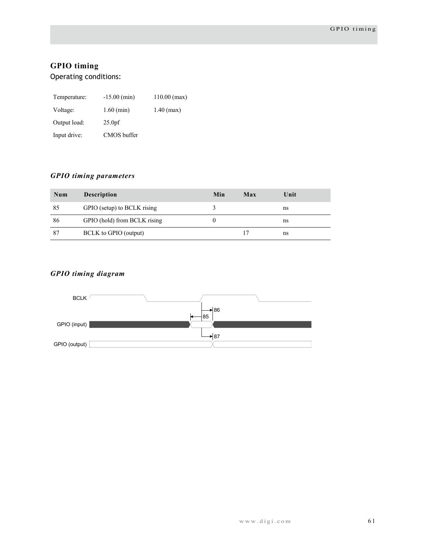# <span id="page-64-0"></span>**GPIO timing**

Operating conditions:

| Temperature: | $-15.00$ (min)     | $110.00$ (max) |
|--------------|--------------------|----------------|
| Voltage:     | $1.60$ (min)       | $1.40$ (max)   |
| Output load: | 25.0 <sub>pf</sub> |                |
| Input drive: | CMOS buffer        |                |

# *GPIO timing parameters*

| Num | <b>Description</b>           | Min | Max | Unit |
|-----|------------------------------|-----|-----|------|
| 85  | GPIO (setup) to BCLK rising  |     |     | ns   |
| 86  | GPIO (hold) from BCLK rising |     |     | ns   |
| 87  | BCLK to GPIO (output)        |     |     | ns   |

# *GPIO timing diagram*

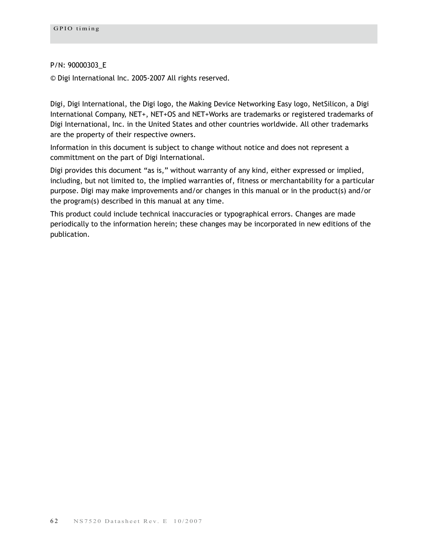#### P/N: 90000303\_E

© Digi International Inc. 2005-2007 All rights reserved.

Digi, Digi International, the Digi logo, the Making Device Networking Easy logo, NetSilicon, a Digi International Company, NET+, NET+OS and NET+Works are trademarks or registered trademarks of Digi International, Inc. in the United States and other countries worldwide. All other trademarks are the property of their respective owners.

Information in this document is subject to change without notice and does not represent a committment on the part of Digi International.

Digi provides this document "as is," without warranty of any kind, either expressed or implied, including, but not limited to, the implied warranties of, fitness or merchantability for a particular purpose. Digi may make improvements and/or changes in this manual or in the product(s) and/or the program(s) described in this manual at any time.

This product could include technical inaccuracies or typographical errors. Changes are made periodically to the information herein; these changes may be incorporated in new editions of the publication.